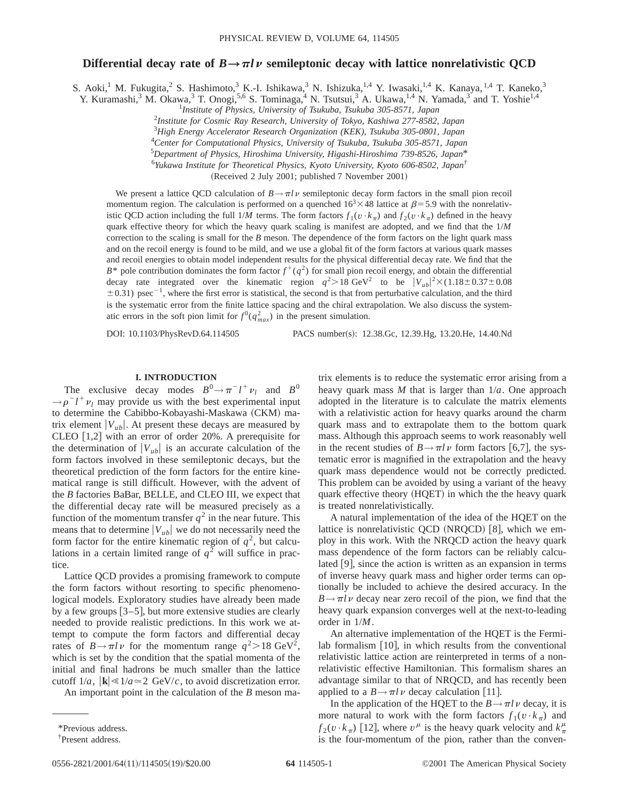## **Differential decay rate of**  $B \rightarrow \pi l \nu$  **semileptonic decay with lattice nonrelativistic QCD**

S. Aoki,<sup>1</sup> M. Fukugita,<sup>2</sup> S. Hashimoto,<sup>3</sup> K.-I. Ishikawa,<sup>3</sup> N. Ishizuka,<sup>1,4</sup> Y. Iwasaki,<sup>1,4</sup> K. Kanaya,<sup>1,4</sup> T. Kaneko,<sup>3</sup>

Y. Kuramashi,<sup>3</sup> M. Okawa,<sup>3</sup> T. Onogi,<sup>5,6</sup> S. Tominaga,<sup>4</sup> N. Tsutsui,<sup>3</sup> A. Ukawa,<sup>1,4</sup> N. Yamada,<sup>3</sup> and T. Yoshie<sup>1,4</sup>

1 *Institute of Physics, University of Tsukuba, Tsukuba 305-8571, Japan*

2 *Institute for Cosmic Ray Research, University of Tokyo, Kashiwa 277-8582, Japan*

3 *High Energy Accelerator Research Organization (KEK), Tsukuba 305-0801, Japan*

4 *Center for Computational Physics, University of Tsukuba, Tsukuba 305-8571, Japan*

5 *Department of Physics, Hiroshima University, Higashi-Hiroshima 739-8526, Japan*\*

6 *Yukawa Institute for Theoretical Physics, Kyoto University, Kyoto 606-8502, Japan†*

(Received 2 July 2001; published 7 November 2001)

We present a lattice QCD calculation of  $B \rightarrow \pi l \nu$  semileptonic decay form factors in the small pion recoil momentum region. The calculation is performed on a quenched  $16<sup>3</sup> \times 48$  lattice at  $\beta = 5.9$  with the nonrelativistic QCD action including the full  $1/M$  terms. The form factors  $f_1(v \cdot k_\pi)$  and  $f_2(v \cdot k_\pi)$  defined in the heavy quark effective theory for which the heavy quark scaling is manifest are adopted, and we find that the 1/*M* correction to the scaling is small for the *B* meson. The dependence of the form factors on the light quark mass and on the recoil energy is found to be mild, and we use a global fit of the form factors at various quark masses and recoil energies to obtain model independent results for the physical differential decay rate. We find that the  $B^*$  pole contribution dominates the form factor  $f^+(q^2)$  for small pion recoil energy, and obtain the differential decay rate integrated over the kinematic region  $q^2 > 18 \text{ GeV}^2$  to be  $|V_{ub}|^2 \times (1.18 \pm 0.37 \pm 0.08$  $\pm$ 0.31) psec<sup>-1</sup>, where the first error is statistical, the second is that from perturbative calculation, and the third is the systematic error from the finite lattice spacing and the chiral extrapolation. We also discuss the systematic errors in the soft pion limit for  $f^0(q_{max}^2)$  in the present simulation.

DOI: 10.1103/PhysRevD.64.114505 PACS number(s): 12.38.Gc, 12.39.Hg, 13.20.He, 14.40.Nd

## **I. INTRODUCTION**

The exclusive decay modes  $B^0 \rightarrow \pi^- l^+ \nu_l$  and  $B^0$  $\rightarrow \rho^{-} l^{+} \nu_{l}$  may provide us with the best experimental input to determine the Cabibbo-Kobayashi-Maskawa (CKM) matrix element  $|V_{ub}|$ . At present these decays are measured by  $CLEO [1,2]$  with an error of order 20%. A prerequisite for the determination of  $|V_{ub}|$  is an accurate calculation of the form factors involved in these semileptonic decays, but the theoretical prediction of the form factors for the entire kinematical range is still difficult. However, with the advent of the *B* factories BaBar, BELLE, and CLEO III, we expect that the differential decay rate will be measured precisely as a function of the momentum transfer  $q^2$  in the near future. This means that to determine  $|V_{ub}|$  we do not necessarily need the form factor for the entire kinematic region of  $q^2$ , but calculations in a certain limited range of  $q^2$  will suffice in practice.

Lattice QCD provides a promising framework to compute the form factors without resorting to specific phenomenological models. Exploratory studies have already been made by a few groups  $[3-5]$ , but more extensive studies are clearly needed to provide realistic predictions. In this work we attempt to compute the form factors and differential decay rates of  $B \rightarrow \pi l \nu$  for the momentum range  $q^2 > 18 \text{ GeV}^2$ , which is set by the condition that the spatial momenta of the initial and final hadrons be much smaller than the lattice cutoff  $1/a$ ,  $|\mathbf{k}| \le 1/a \approx 2$  GeV/*c*, to avoid discretization error.

An important point in the calculation of the *B* meson ma-

trix elements is to reduce the systematic error arising from a heavy quark mass *M* that is larger than 1/*a*. One approach adopted in the literature is to calculate the matrix elements with a relativistic action for heavy quarks around the charm quark mass and to extrapolate them to the bottom quark mass. Although this approach seems to work reasonably well in the recent studies of  $B \rightarrow \pi l \nu$  form factors [6,7], the systematic error is magnified in the extrapolation and the heavy quark mass dependence would not be correctly predicted. This problem can be avoided by using a variant of the heavy quark effective theory (HQET) in which the the heavy quark is treated nonrelativistically.

A natural implementation of the idea of the HQET on the lattice is nonrelativistic QCD  $(NRQCD)$  [8], which we employ in this work. With the NRQCD action the heavy quark mass dependence of the form factors can be reliably calculated  $\vert 9 \vert$ , since the action is written as an expansion in terms of inverse heavy quark mass and higher order terms can optionally be included to achieve the desired accuracy. In the  $B \rightarrow \pi l \nu$  decay near zero recoil of the pion, we find that the heavy quark expansion converges well at the next-to-leading order in 1/*M*.

An alternative implementation of the HQET is the Fermilab formalism  $[10]$ , in which results from the conventional relativistic lattice action are reinterpreted in terms of a nonrelativistic effective Hamiltonian. This formalism shares an advantage similar to that of NRQCD, and has recently been applied to a  $B \rightarrow \pi l \nu$  decay calculation [11].

In the application of the HQET to the  $B \rightarrow \pi l \nu$  decay, it is more natural to work with the form factors  $f_1(v \cdot k_\pi)$  and  $f_2(v \cdot k_\pi)$  [12], where  $v^\mu$  is the heavy quark velocity and  $k_\pi^\mu$ is the four-momentum of the pion, rather than the conven-

<sup>\*</sup>Previous address.

<sup>†</sup> Present address.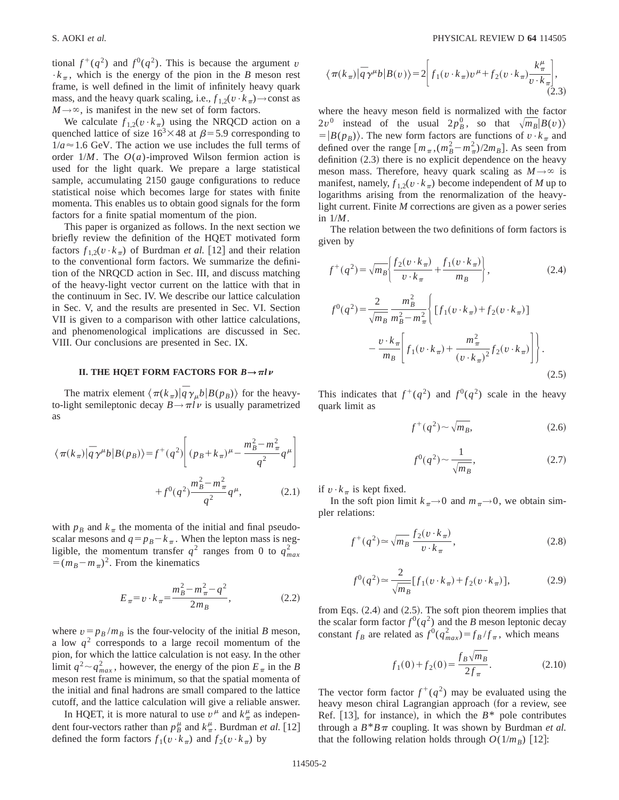tional  $f^+(q^2)$  and  $f^0(q^2)$ . This is because the argument *v*  $\cdot k_{\pi}$ , which is the energy of the pion in the *B* meson rest frame, is well defined in the limit of infinitely heavy quark mass, and the heavy quark scaling, i.e.,  $f_{1,2}(v \cdot k_{\pi}) \rightarrow$ const as  $M \rightarrow \infty$ , is manifest in the new set of form factors.

We calculate  $f_{1,2}(v \cdot k_\pi)$  using the NRQCD action on a quenched lattice of size  $16<sup>3</sup> \times 48$  at  $\beta = 5.9$  corresponding to  $1/a \approx 1.6$  GeV. The action we use includes the full terms of order 1/*M*. The *O*(*a*)-improved Wilson fermion action is used for the light quark. We prepare a large statistical sample, accumulating 2150 gauge configurations to reduce statistical noise which becomes large for states with finite momenta. This enables us to obtain good signals for the form factors for a finite spatial momentum of the pion.

This paper is organized as follows. In the next section we briefly review the definition of the HQET motivated form factors  $f_{1,2}(v \cdot k_{\pi})$  of Burdman *et al.* [12] and their relation to the conventional form factors. We summarize the definition of the NRQCD action in Sec. III, and discuss matching of the heavy-light vector current on the lattice with that in the continuum in Sec. IV. We describe our lattice calculation in Sec. V, and the results are presented in Sec. VI. Section VII is given to a comparison with other lattice calculations, and phenomenological implications are discussed in Sec. VIII. Our conclusions are presented in Sec. IX.

## **II. THE HQET FORM FACTORS FOR**  $B \rightarrow \pi l \nu$

The matrix element  $\langle \pi(k_{\pi})|\bar{q}\gamma_{\mu}b|B(p_{B})\rangle$  for the heavyto-light semileptonic decay  $B \rightarrow \pi l \nu$  is usually parametrized as

$$
\langle \pi(k_{\pi})|\bar{q}\gamma^{\mu}b|B(p_{B})\rangle = f^{+}(q^{2})\left[ (p_{B} + k_{\pi})^{\mu} - \frac{m_{B}^{2} - m_{\pi}^{2}}{q^{2}}q^{\mu} \right] + f^{0}(q^{2})\frac{m_{B}^{2} - m_{\pi}^{2}}{q^{2}}q^{\mu},
$$
\n(2.1)

with  $p_B$  and  $k_\pi$  the momenta of the initial and final pseudoscalar mesons and  $q = p_B - k_\pi$ . When the lepton mass is negligible, the momentum transfer  $q^2$  ranges from 0 to  $q_{max}^2$  $=(m_B-m_\pi)^2$ . From the kinematics

$$
E_{\pi} = v \cdot k_{\pi} = \frac{m_B^2 - m_{\pi}^2 - q^2}{2m_B},
$$
 (2.2)

where  $v = p_B/m_B$  is the four-velocity of the initial *B* meson, a low  $q<sup>2</sup>$  corresponds to a large recoil momentum of the pion, for which the lattice calculation is not easy. In the other limit  $q^2 \sim q_{max}^2$ , however, the energy of the pion  $E_{\pi}$  in the *B* meson rest frame is minimum, so that the spatial momenta of the initial and final hadrons are small compared to the lattice cutoff, and the lattice calculation will give a reliable answer.

In HQET, it is more natural to use  $v^{\mu}$  and  $k^{\mu}_{\pi}$  as independent four-vectors rather than  $p_B^{\mu}$  and  $k_{\pi}^{\mu}$ . Burdman *et al.* [12] defined the form factors  $f_1(v \cdot k_\pi)$  and  $f_2(v \cdot k_\pi)$  by

$$
\langle \pi(k_{\pi})|\bar{q}\gamma^{\mu}b|B(v)\rangle = 2\left|f_1(v\cdot k_{\pi})v^{\mu} + f_2(v\cdot k_{\pi})\frac{k_{\pi}^{\mu}}{v\cdot k_{\pi}}\right|,\tag{2.3}
$$

where the heavy meson field is normalized with the factor  $2v^0$  instead of the usual  $2p_B^0$ , so that  $\sqrt{m_B}|B(v)\rangle$  $=$  $|B(p_B)\rangle$ . The new form factors are functions of  $v \cdot k_{\pi}$  and defined over the range  $\left[m_{\pi}, (m_B^2 - m_{\pi}^2)/2m_B\right]$ . As seen from definition  $(2.3)$  there is no explicit dependence on the heavy meson mass. Therefore, heavy quark scaling as  $M \rightarrow \infty$  is manifest, namely,  $f_{1,2}(v \cdot k_\pi)$  become independent of *M* up to logarithms arising from the renormalization of the heavylight current. Finite *M* corrections are given as a power series in 1/*M*.

The relation between the two definitions of form factors is given by

$$
f^{+}(q^{2}) = \sqrt{m_{B}} \left\{ \frac{f_{2}(v \cdot k_{\pi})}{v \cdot k_{\pi}} + \frac{f_{1}(v \cdot k_{\pi})}{m_{B}} \right\},
$$
\n
$$
f^{0}(q^{2}) = \frac{2}{\sqrt{m_{B}}} \frac{m_{B}^{2}}{m_{B}^{2} - m_{\pi}^{2}} \left\{ \left[ f_{1}(v \cdot k_{\pi}) + f_{2}(v \cdot k_{\pi}) \right] - \frac{v \cdot k_{\pi}}{m_{B}} \left[ f_{1}(v \cdot k_{\pi}) + \frac{m_{\pi}^{2}}{(v \cdot k_{\pi})^{2}} f_{2}(v \cdot k_{\pi}) \right] \right\}.
$$
\n(2.5)

This indicates that  $f^+(q^2)$  and  $f^0(q^2)$  scale in the heavy quark limit as

$$
f^+(q^2) \sim \sqrt{m_B},\tag{2.6}
$$

$$
f^{0}(q^{2}) \sim \frac{1}{\sqrt{m_{B}}},
$$
\n(2.7)

if  $v \cdot k_\pi$  is kept fixed.

In the soft pion limit  $k_{\pi} \rightarrow 0$  and  $m_{\pi} \rightarrow 0$ , we obtain simpler relations:

$$
f^+(q^2) \approx \sqrt{m_B} \frac{f_2(v \cdot k_\pi)}{v \cdot k_\pi},\tag{2.8}
$$

$$
f^{0}(q^{2}) \approx \frac{2}{\sqrt{m_{B}}} [f_{1}(v \cdot k_{\pi}) + f_{2}(v \cdot k_{\pi})],
$$
 (2.9)

from Eqs.  $(2.4)$  and  $(2.5)$ . The soft pion theorem implies that the scalar form factor  $f^{0}(q^{2})$  and the *B* meson leptonic decay constant  $f_B$  are related as  $f^0(q_{max}^2) = f_B/f_{\pi}$ , which means

$$
f_1(0) + f_2(0) = \frac{f_B \sqrt{m_B}}{2f_\pi}.
$$
 (2.10)

The vector form factor  $f^+(q^2)$  may be evaluated using the heavy meson chiral Lagrangian approach (for a review, see Ref.  $[13]$ , for instance), in which the  $B^*$  pole contributes through a  $B^*B \pi$  coupling. It was shown by Burdman *et al.* that the following relation holds through  $O(1/m_B)$  [12]: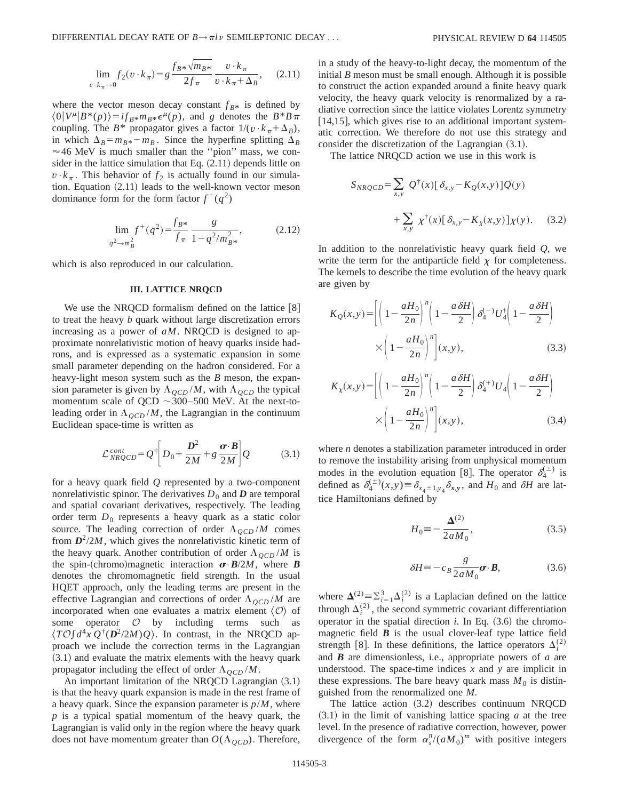$$
\lim_{v \to k_{\pi} \to 0} f_2(v \cdot k_{\pi}) = g \frac{f_{B^*} \sqrt{m_{B^*}}}{2f_{\pi}} \frac{v \cdot k_{\pi}}{v \cdot k_{\pi} + \Delta_B}, \quad (2.11)
$$

where the vector meson decay constant  $f_{B*}$  is defined by  $\langle 0|V^{\mu}|B^*(p)\rangle = i f_{B^*} m_{B^*} \epsilon^{\mu}(p)$ , and *g* denotes the  $B^*B\pi$ coupling. The *B*\* propagator gives a factor  $1/(v \cdot k_{\pi} + \Delta_B)$ , in which  $\Delta_B = m_{B*} - m_B$ . Since the hyperfine splitting  $\Delta_B$  $\approx$  46 MeV is much smaller than the "pion" mass, we consider in the lattice simulation that Eq.  $(2.11)$  depends little on  $v \cdot k_\pi$ . This behavior of  $f_2$  is actually found in our simulation. Equation  $(2.11)$  leads to the well-known vector meson dominance form for the form factor  $f^+(q^2)$ 

$$
\lim_{q^2 \to m_B^2} f^+(q^2) = \frac{f_{B^*}}{f_\pi} \frac{g}{1 - q^2/m_{B^*}^2},
$$
\n(2.12)

which is also reproduced in our calculation.

## **III. LATTICE NRQCD**

We use the NRQCD formalism defined on the lattice  $[8]$ to treat the heavy *b* quark without large discretization errors increasing as a power of *aM*. NRQCD is designed to approximate nonrelativistic motion of heavy quarks inside hadrons, and is expressed as a systematic expansion in some small parameter depending on the hadron considered. For a heavy-light meson system such as the *B* meson, the expansion parameter is given by  $\Lambda_{QCD}/M$ , with  $\Lambda_{QCD}$  the typical momentum scale of QCD  $\sim$  300–500 MeV. At the next-toleading order in  $\Lambda_{OCD}/M$ , the Lagrangian in the continuum Euclidean space-time is written as

$$
\mathcal{L}_{NRQCD}^{cont} = Q^{\dagger} \bigg[ D_0 + \frac{D^2}{2M} + g \frac{\boldsymbol{\sigma} \cdot \boldsymbol{B}}{2M} \bigg] Q \tag{3.1}
$$

for a heavy quark field *Q* represented by a two-component nonrelativistic spinor. The derivatives  $D_0$  and  $D$  are temporal and spatial covariant derivatives, respectively. The leading order term  $D_0$  represents a heavy quark as a static color source. The leading correction of order  $\Lambda_{QCD}/M$  comes from  $D^2/2M$ , which gives the nonrelativistic kinetic term of the heavy quark. Another contribution of order  $\Lambda_{QCD}/M$  is the spin-(chromo)magnetic interaction  $\sigma$ ·*B*/2*M*, where *B* denotes the chromomagnetic field strength. In the usual HQET approach, only the leading terms are present in the effective Lagrangian and corrections of order  $\Lambda_{QCD}/M$  are incorporated when one evaluates a matrix element  $\langle O \rangle$  of some operator  $O$  by including terms such as operator  $O$  by including terms such as  $\langle T\mathcal{O}\left[d^4x \,Q^{\dagger}(\mathbf{D}^2/2M)Q\right)$ . In contrast, in the NRQCD approach we include the correction terms in the Lagrangian  $(3.1)$  and evaluate the matrix elements with the heavy quark propagator including the effect of order  $\Lambda_{QCD}/M$ .

An important limitation of the NRQCD Lagrangian  $(3.1)$ is that the heavy quark expansion is made in the rest frame of a heavy quark. Since the expansion parameter is *p*/*M*, where *p* is a typical spatial momentum of the heavy quark, the Lagrangian is valid only in the region where the heavy quark does not have momentum greater than  $O(\Lambda_{\text{OCD}})$ . Therefore, in a study of the heavy-to-light decay, the momentum of the initial *B* meson must be small enough. Although it is possible to construct the action expanded around a finite heavy quark velocity, the heavy quark velocity is renormalized by a radiative correction since the lattice violates Lorentz symmetry  $[14,15]$ , which gives rise to an additional important systematic correction. We therefore do not use this strategy and consider the discretization of the Lagrangian  $(3.1)$ .

The lattice NRQCD action we use in this work is

$$
S_{NRQCD} = \sum_{x,y} Q^{\dagger}(x) [\delta_{x,y} - K_Q(x,y)]Q(y)
$$

$$
+ \sum_{x,y} \chi^{\dagger}(x) [\delta_{x,y} - K_X(x,y)]\chi(y). \quad (3.2)
$$

In addition to the nonrelativistic heavy quark field *Q*, we write the term for the antiparticle field  $\chi$  for completeness. The kernels to describe the time evolution of the heavy quark are given by

$$
K_Q(x,y) = \left[ \left( 1 - \frac{aH_0}{2n} \right)^n \left( 1 - \frac{a \delta H}{2} \right) \delta_4^{(-)} U_4^{\dagger} \left( 1 - \frac{a \delta H}{2} \right) \right] \times \left( 1 - \frac{aH_0}{2n} \right)^n \right] (x,y), \tag{3.3}
$$

$$
K_{\chi}(x,y) = \left[ \left( 1 - \frac{aH_0}{2n} \right)^n \left( 1 - \frac{a \delta H}{2} \right) \delta_4^{(+)} U_4 \left( 1 - \frac{a \delta H}{2} \right) \right]
$$

$$
\times \left( 1 - \frac{aH_0}{2n} \right)^n \left[ (x,y), \right]
$$
(3.4)

where *n* denotes a stabilization parameter introduced in order to remove the instability arising from unphysical momentum modes in the evolution equation [8]. The operator  $\delta_4^{(\pm)}$  is defined as  $\delta_4^{(\pm)}(x,y) \equiv \delta_{x_4 \pm 1, y_4} \delta_{x,y}$ , and  $H_0$  and  $\delta H$  are lattice Hamiltonians defined by

$$
H_0 \equiv -\frac{\Delta^{(2)}}{2aM_0},\tag{3.5}
$$

$$
\delta H \equiv -c_B \frac{g}{2aM_0} \boldsymbol{\sigma} \cdot \boldsymbol{B},\tag{3.6}
$$

where  $\Delta^{(2)} \equiv \sum_{i=1}^{3} \Delta^{(2)}_i$  is a Laplacian defined on the lattice through  $\Delta_i^{(2)}$ , the second symmetric covariant differentiation operator in the spatial direction  $i$ . In Eq.  $(3.6)$  the chromomagnetic field  $\boldsymbol{B}$  is the usual clover-leaf type lattice field strength [8]. In these definitions, the lattice operators  $\Delta_i^{(2)}$ and *B* are dimensionless, i.e., appropriate powers of *a* are understood. The space-time indices *x* and *y* are implicit in these expressions. The bare heavy quark mass  $M_0$  is distinguished from the renormalized one *M*.

The lattice action  $(3.2)$  describes continuum NRQCD  $(3.1)$  in the limit of vanishing lattice spacing  $a$  at the tree level. In the presence of radiative correction, however, power divergence of the form  $\alpha_s^n/(aM_0)^m$  with positive integers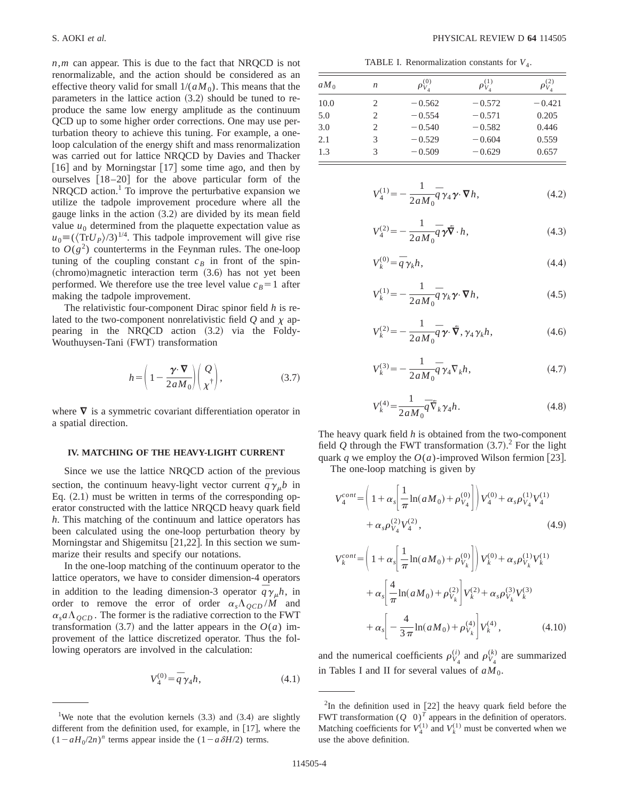*n*,*m* can appear. This is due to the fact that NRQCD is not renormalizable, and the action should be considered as an effective theory valid for small  $1/(aM_0)$ . This means that the parameters in the lattice action  $(3.2)$  should be tuned to reproduce the same low energy amplitude as the continuum QCD up to some higher order corrections. One may use perturbation theory to achieve this tuning. For example, a oneloop calculation of the energy shift and mass renormalization was carried out for lattice NRQCD by Davies and Thacker [16] and by Morningstar [17] some time ago, and then by ourselves  $[18–20]$  for the above particular form of the  $NRQCD$  action.<sup>1</sup> To improve the perturbative expansion we utilize the tadpole improvement procedure where all the gauge links in the action  $(3.2)$  are divided by its mean field value  $u_0$  determined from the plaquette expectation value as  $u_0 = (\langle \text{Tr} U_P \rangle /3)^{1/4}$ . This tadpole improvement will give rise to  $O(g^2)$  counterterms in the Feynman rules. The one-loop tuning of the coupling constant  $c_B$  in front of the spin- $(chromo)$  magnetic interaction term  $(3.6)$  has not yet been performed. We therefore use the tree level value  $c_B=1$  after making the tadpole improvement.

The relativistic four-component Dirac spinor field *h* is related to the two-component nonrelativistic field  $Q$  and  $\chi$  appearing in the NRQCD action  $(3.2)$  via the Foldy-Wouthuysen-Tani (FWT) transformation

$$
h = \left(1 - \frac{\gamma \cdot \nabla}{2aM_0}\right) \left(\frac{Q}{\chi^{\dagger}}\right),\tag{3.7}
$$

where  $\nabla$  is a symmetric covariant differentiation operator in a spatial direction.

## **IV. MATCHING OF THE HEAVY-LIGHT CURRENT**

Since we use the lattice NRQCD action of the previous section, the continuum heavy-light vector current  $\overline{q} \gamma_{\mu} b$  in Eq.  $(2.1)$  must be written in terms of the corresponding operator constructed with the lattice NRQCD heavy quark field *h*. This matching of the continuum and lattice operators has been calculated using the one-loop perturbation theory by Morningstar and Shigemitsu  $[21,22]$ . In this section we summarize their results and specify our notations.

In the one-loop matching of the continuum operator to the lattice operators, we have to consider dimension-4 operators in addition to the leading dimension-3 operator  $\overline{q} \gamma_{\mu} h$ , in order to remove the error of order  $\alpha_s \Lambda_{QCD} / M$  and  $\alpha_s a \Lambda_{QCD}$ . The former is the radiative correction to the FWT transformation  $(3.7)$  and the latter appears in the  $O(a)$  improvement of the lattice discretized operator. Thus the following operators are involved in the calculation:

$$
V_4^{(0)} = \bar{q} \gamma_4 h, \tag{4.1}
$$

TABLE I. Renormalization constants for  $V_4$ .

| $aM_0$ | n | $\rho_{V_A}^{(0)}$ | $\rho_{V_A}^{(1)}$ | $\rho_{V_4}^{(2)}$ |
|--------|---|--------------------|--------------------|--------------------|
| 10.0   | 2 | $-0.562$           | $-0.572$           | $-0.421$           |
| 5.0    | 2 | $-0.554$           | $-0.571$           | 0.205              |
| 3.0    | 2 | $-0.540$           | $-0.582$           | 0.446              |
| 2.1    | 3 | $-0.529$           | $-0.604$           | 0.559              |
| 1.3    | 3 | $-0.509$           | $-0.629$           | 0.657              |

$$
V_4^{(1)} = -\frac{1}{2aM_0}\overline{q}\gamma_4\gamma \cdot \nabla h,\qquad(4.2)
$$

$$
V_4^{(2)} = -\frac{1}{2aM_0}\overline{q}\gamma\overline{\mathbf{\nabla}}\cdot h,\tag{4.3}
$$

$$
V_k^{(0)} = \overline{q} \gamma_k h,\tag{4.4}
$$

$$
V_k^{(1)} = -\frac{1}{2aM_0}\overline{q}\gamma_k\gamma \cdot \nabla h,\tag{4.5}
$$

$$
V_k^{(2)} = -\frac{1}{2aM_0}\bar{q}\gamma \cdot \tilde{\nabla}, \gamma_4 \gamma_k h,
$$
\n(4.6)

$$
V_k^{(3)} = -\frac{1}{2aM_0}\bar{q}\gamma_4 \nabla_k h,\tag{4.7}
$$

$$
V_k^{(4)} = \frac{1}{2aM_0} \overline{q} \,\overline{\nabla}_k \,\gamma_4 h. \tag{4.8}
$$

The heavy quark field *h* is obtained from the two-component field  $Q$  through the FWT transformation  $(3.7)$ .<sup>2</sup> For the light quark *q* we employ the  $O(a)$ -improved Wilson fermion [23].

The one-loop matching is given by

$$
V_4^{cont} = \left(1 + \alpha_s \left[ \frac{1}{\pi} \ln(aM_0) + \rho_{V_4}^{(0)} \right] \right) V_4^{(0)} + \alpha_s \rho_{V_4}^{(1)} V_4^{(1)} + \alpha_s \rho_{V_4}^{(2)} V_4^{(2)},
$$
\n(4.9)

$$
V_k^{cont} = \left(1 + \alpha_s \left[\frac{1}{\pi} \ln(aM_0) + \rho_{V_k}^{(0)}\right]\right) V_k^{(0)} + \alpha_s \rho_{V_k}^{(1)} V_k^{(1)}
$$

$$
+ \alpha_s \left[\frac{4}{\pi} \ln(aM_0) + \rho_{V_k}^{(2)}\right] V_k^{(2)} + \alpha_s \rho_{V_k}^{(3)} V_k^{(3)}
$$

$$
+ \alpha_s \left[-\frac{4}{3\pi} \ln(aM_0) + \rho_{V_k}^{(4)}\right] V_k^{(4)}, \qquad (4.10)
$$

and the numerical coefficients  $\rho_{V_4}^{(i)}$  and  $\rho_{V_4}^{(k)}$  are summarized in Tables I and II for several values of  $aM_0$ .

<sup>&</sup>lt;sup>1</sup>We note that the evolution kernels  $(3.3)$  and  $(3.4)$  are slightly different from the definition used, for example, in  $[17]$ , where the  $(1-aH_0/2n)^n$  terms appear inside the  $(1-a\delta H/2)$  terms.

 $2$ In the definition used in [22] the heavy quark field before the FWT transformation  $(Q \ 0)^T$  appears in the definition of operators. Matching coefficients for  $V_4^{(1)}$  and  $V_k^{(1)}$  must be converted when we use the above definition.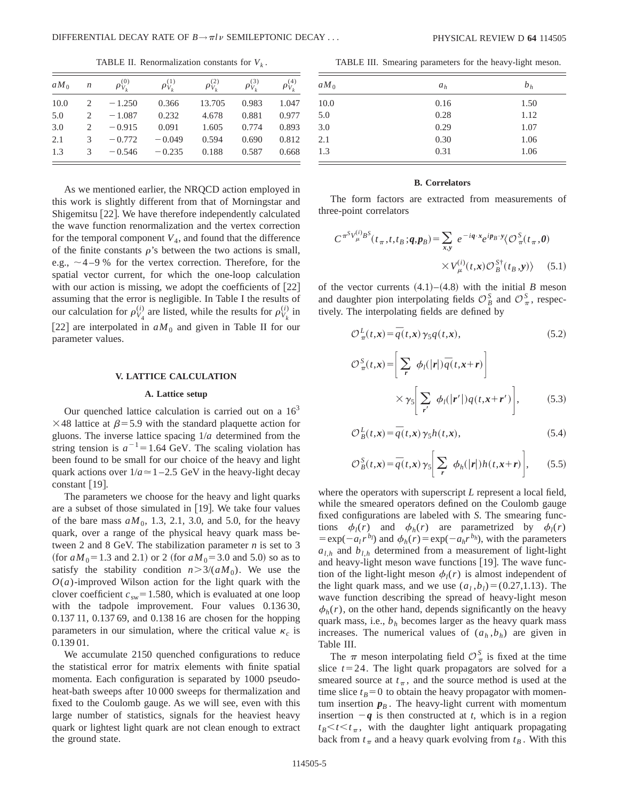TABLE II. Renormalization constants for  $V_k$ .

| $aM_0$ | $\boldsymbol{n}$ | $\rho_{V_L}^{(0)}$ | $\rho_{V_L}^{(1)}$ | $\rho_{V_L}^{(2)}$ | $\rho_{V_L}^{(3)}$ | $\rho_{V_L}^{(4)}$ |
|--------|------------------|--------------------|--------------------|--------------------|--------------------|--------------------|
| 10.0   |                  | $-1.250$           | 0.366              | 13.705             | 0.983              | 1.047              |
| 5.0    | 2                | $-1.087$           | 0.232              | 4.678              | 0.881              | 0.977              |
| 3.0    |                  | $-0.915$           | 0.091              | 1.605              | 0.774              | 0.893              |
| 2.1    | 3                | $-0.772$           | $-0.049$           | 0.594              | 0.690              | 0.812              |
| 1.3    | 3                | $-0.546$           | $-0.235$           | 0.188              | 0.587              | 0.668              |

As we mentioned earlier, the NRQCD action employed in this work is slightly different from that of Morningstar and Shigemitsu [22]. We have therefore independently calculated the wave function renormalization and the vertex correction for the temporal component  $V_4$ , and found that the difference of the finite constants  $\rho$ 's between the two actions is small, e.g.,  $\sim$  4–9 % for the vertex correction. Therefore, for the spatial vector current, for which the one-loop calculation with our action is missing, we adopt the coefficients of  $[22]$ assuming that the error is negligible. In Table I the results of our calculation for  $\rho_{V_4}^{(i)}$  are listed, while the results for  $\rho_{V_k}^{(i)}$  in [22] are interpolated in  $aM_0$  and given in Table II for our parameter values.

## **V. LATTICE CALCULATION**

## **A. Lattice setup**

Our quenched lattice calculation is carried out on a  $16<sup>3</sup>$  $\times$ 48 lattice at  $\beta$ =5.9 with the standard plaquette action for gluons. The inverse lattice spacing 1/*a* determined from the string tension is  $a^{-1} = 1.64$  GeV. The scaling violation has been found to be small for our choice of the heavy and light quark actions over  $1/a \approx 1 - 2.5$  GeV in the heavy-light decay constant  $[19]$ .

The parameters we choose for the heavy and light quarks are a subset of those simulated in  $[19]$ . We take four values of the bare mass  $aM_0$ , 1.3, 2.1, 3.0, and 5.0, for the heavy quark, over a range of the physical heavy quark mass between 2 and 8 GeV. The stabilization parameter *n* is set to 3  $({\text{for } aM_0=1.3 \text{ and } 2.1})$  or 2  $({\text{for } aM_0=3.0 \text{ and } 5.0})$  so as to satisfy the stability condition  $n > 3/(aM_0)$ . We use the  $O(a)$ -improved Wilson action for the light quark with the clover coefficient  $c_{sw}$ =1.580, which is evaluated at one loop with the tadpole improvement. Four values 0.136 30, 0.137 11, 0.137 69, and 0.138 16 are chosen for the hopping parameters in our simulation, where the critical value  $\kappa_c$  is 0.139 01.

We accumulate 2150 quenched configurations to reduce the statistical error for matrix elements with finite spatial momenta. Each configuration is separated by 1000 pseudoheat-bath sweeps after 10 000 sweeps for thermalization and fixed to the Coulomb gauge. As we will see, even with this large number of statistics, signals for the heaviest heavy quark or lightest light quark are not clean enough to extract the ground state.

TABLE III. Smearing parameters for the heavy-light meson.

| $aM_0$ | $a_h$ | $b_h$ |
|--------|-------|-------|
| 10.0   | 0.16  | 1.50  |
| 5.0    | 0.28  | 1.12  |
| 3.0    | 0.29  | 1.07  |
| 2.1    | 0.30  | 1.06  |
| 1.3    | 0.31  | 1.06  |

## **B. Correlators**

The form factors are extracted from measurements of three-point correlators

$$
C^{\pi^S V^{(i)}_\mu B^S}(t_\pi, t, t_B; \mathbf{q}, \mathbf{p}_B) = \sum_{x, y} e^{-i\mathbf{q} \cdot \mathbf{x}} e^{i\mathbf{p}_B \cdot \mathbf{y}} \langle \mathcal{O}^S_\pi(t_\pi, \mathbf{0}) \rangle
$$

$$
\times V^{(i)}_\mu(t, x) \mathcal{O}^{S^+}_B(t_B, y) \rangle \qquad (5.1)
$$

of the vector currents  $(4.1)–(4.8)$  with the initial *B* meson and daughter pion interpolating fields  $\mathcal{O}_{B}^{S}$  and  $\mathcal{O}_{\pi}^{S}$ , respectively. The interpolating fields are defined by

$$
\mathcal{O}_{\pi}^{L}(t,\mathbf{x}) = \overline{q}(t,\mathbf{x})\,\gamma_{5}q(t,\mathbf{x}),\tag{5.2}
$$

$$
\mathcal{O}_{\pi}^{S}(t,\mathbf{x}) = \left[ \sum_{r} \phi_{l}(|r|) \overline{q}(t,\mathbf{x}+r) \right] \times \gamma_{S} \left[ \sum_{r'} \phi_{l}(|r'|) q(t,\mathbf{x}+r') \right], \qquad (5.3)
$$

$$
\mathcal{O}_B^L(t, \mathbf{x}) = \overline{q}(t, \mathbf{x}) \gamma_5 h(t, \mathbf{x}),\tag{5.4}
$$

$$
\mathcal{O}_B^S(t, \mathbf{x}) = \overline{q}(t, \mathbf{x}) \gamma_5 \left[ \sum_r \phi_h(|\mathbf{r}|) h(t, \mathbf{x} + \mathbf{r}) \right], \qquad (5.5)
$$

where the operators with superscript *L* represent a local field, while the smeared operators defined on the Coulomb gauge fixed configurations are labeled with *S*. The smearing functions  $\phi_l(r)$  and  $\phi_h(r)$  are parametrized by  $\phi_l(r)$  $= \exp(-a_l r^{b_l})$  and  $\phi_h(r) = \exp(-a_h r^{b_h})$ , with the parameters  $a_{1h}$  and  $b_{1h}$  determined from a measurement of light-light and heavy-light meson wave functions  $[19]$ . The wave function of the light-light meson  $\phi_l(r)$  is almost independent of the light quark mass, and we use  $(a_l, b_l) = (0.27, 1.13)$ . The wave function describing the spread of heavy-light meson  $\phi_h(r)$ , on the other hand, depends significantly on the heavy quark mass, i.e.,  $b_h$  becomes larger as the heavy quark mass increases. The numerical values of  $(a_h, b_h)$  are given in Table III.

The  $\pi$  meson interpolating field  $\mathcal{O}_{\pi}^{S}$  is fixed at the time slice  $t=24$ . The light quark propagators are solved for a smeared source at  $t<sub>\pi</sub>$ , and the source method is used at the time slice  $t_B=0$  to obtain the heavy propagator with momentum insertion  $p_B$ . The heavy-light current with momentum insertion  $-q$  is then constructed at *t*, which is in a region  $t_B < t < t_\pi$ , with the daughter light antiquark propagating back from  $t_{\pi}$  and a heavy quark evolving from  $t_B$ . With this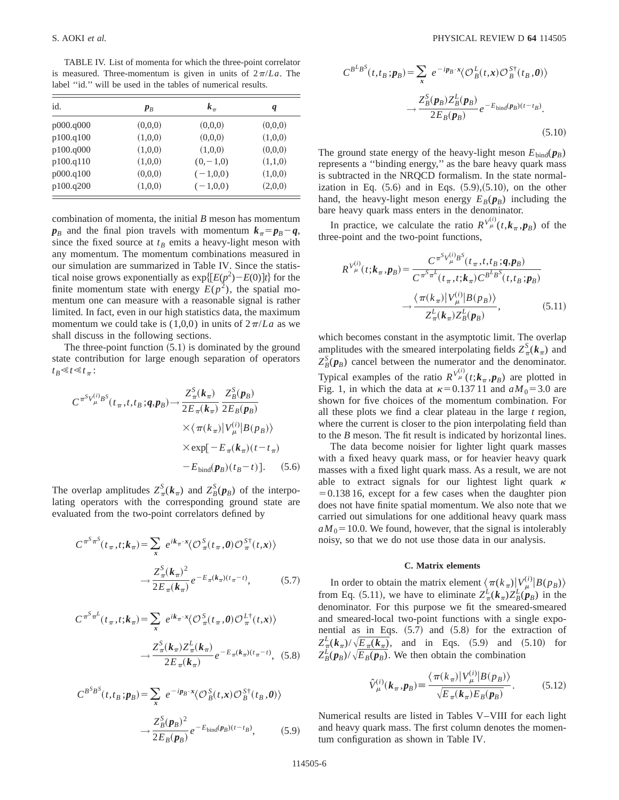TABLE IV. List of momenta for which the three-point correlator is measured. Three-momentum is given in units of  $2\pi/La$ . The label "id." will be used in the tables of numerical results.

| id.       | $p_B$   | $k_{\pi}$    | q       |
|-----------|---------|--------------|---------|
| p000.q000 | (0,0,0) | (0,0,0)      | (0,0,0) |
| p100.q100 | (1,0,0) | (0,0,0)      | (1,0,0) |
| p100.q000 | (1,0,0) | (1,0,0)      | (0,0,0) |
| p100.q110 | (1,0,0) | $(0, -1, 0)$ | (1,1,0) |
| p000.q100 | (0,0,0) | $(-1,0,0)$   | (1,0,0) |
| p100.q200 | (1,0,0) | $(-1,0,0)$   | (2,0,0) |

combination of momenta, the initial *B* meson has momentum  $p_B$  and the final pion travels with momentum  $k_{\pi} = p_B - q$ , since the fixed source at  $t_B$  emits a heavy-light meson with any momentum. The momentum combinations measured in our simulation are summarized in Table IV. Since the statistical noise grows exponentially as  $\exp\{[E(p^2)-E(0)]t\}$  for the finite momentum state with energy  $E(p^2)$ , the spatial momentum one can measure with a reasonable signal is rather limited. In fact, even in our high statistics data, the maximum momentum we could take is  $(1,0,0)$  in units of  $2\pi/La$  as we shall discuss in the following sections.

The three-point function  $(5.1)$  is dominated by the ground state contribution for large enough separation of operators  $t_B \ll t \ll t_\pi$ :

$$
C^{\pi^S V_{\mu}^{(i)} B^S}(t_{\pi}, t, t_B; \boldsymbol{q}, \boldsymbol{p}_B) \rightarrow \frac{Z_{\pi}^S(\boldsymbol{k}_{\pi})}{2E_{\pi}(\boldsymbol{k}_{\pi})} \frac{Z_B^S(\boldsymbol{p}_B)}{2E_B(\boldsymbol{p}_B)}
$$

$$
\times \langle \pi(k_{\pi}) | V_{\mu}^{(i)} | B(p_B) \rangle
$$

$$
\times \exp[-E_{\pi}(\boldsymbol{k}_{\pi})(t - t_{\pi})
$$

$$
-E_{\text{bind}}(\boldsymbol{p}_B)(t_B - t)]. \quad (5.6)
$$

The overlap amplitudes  $Z_{\pi}^{S}(\boldsymbol{k}_{\pi})$  and  $Z_{B}^{S}(\boldsymbol{p}_{B})$  of the interpolating operators with the corresponding ground state are evaluated from the two-point correlators defined by

$$
C^{\pi^S \pi^S}(t_\pi, t; \mathbf{k}_\pi) = \sum_{\mathbf{x}} e^{i\mathbf{k}_\pi \cdot \mathbf{x}} \langle \mathcal{O}^S_\pi(t_\pi, \mathbf{0}) \mathcal{O}^{S\dagger}_\pi(t, \mathbf{x}) \rangle
$$

$$
\rightarrow \frac{Z^S_\pi(\mathbf{k}_\pi)^2}{2E_\pi(\mathbf{k}_\pi)} e^{-E_\pi(\mathbf{k}_\pi)(t_\pi - t)}, \tag{5.7}
$$

$$
C^{\pi^S \pi^L}(t_\pi, t; \mathbf{k}_\pi) = \sum_{\mathbf{x}} e^{i\mathbf{k}_\pi \cdot \mathbf{x}} \langle \mathcal{O}^S_\pi(t_\pi, \mathbf{0}) \mathcal{O}^L_\pi(t, \mathbf{x}) \rangle
$$

$$
\rightarrow \frac{Z^S_\pi(\mathbf{k}_\pi) Z^L_\pi(\mathbf{k}_\pi)}{2E_\pi(\mathbf{k}_\pi)} e^{-E_\pi(\mathbf{k}_\pi)(t_\pi - t)}, \quad (5.8)
$$

$$
C^{B^{S}B^{S}}(t, t_{B}; \boldsymbol{p}_{B}) = \sum_{x} e^{-ip_{B} \cdot x} \langle \mathcal{O}_{B}^{S}(t, x) \mathcal{O}_{B}^{S\dagger}(t_{B}, \boldsymbol{\theta}) \rangle
$$

$$
\rightarrow \frac{Z_{B}^{S}(\boldsymbol{p}_{B})^{2}}{2E_{B}(\boldsymbol{p}_{B})} e^{-E_{\text{bind}}(\boldsymbol{p}_{B})(t-t_{B})}, \qquad (5.9)
$$

$$
C^{B^{L}B^{S}}(t, t_{B}; \boldsymbol{p}_{B}) = \sum_{x} e^{-ip_{B} \cdot x} \langle \mathcal{O}_{B}^{L}(t, x) \mathcal{O}_{B}^{S\dagger}(t_{B}, \boldsymbol{\theta}) \rangle
$$

$$
\rightarrow \frac{Z_{B}^{S}(\boldsymbol{p}_{B}) Z_{B}^{L}(\boldsymbol{p}_{B})}{2 E_{B}(\boldsymbol{p}_{B})} e^{-E_{\text{bind}}(\boldsymbol{p}_{B})(t-t_{B})}. \tag{5.10}
$$

The ground state energy of the heavy-light meson  $E_{\text{bind}}(\boldsymbol{p}_B)$ represents a ''binding energy,'' as the bare heavy quark mass is subtracted in the NRQCD formalism. In the state normalization in Eq.  $(5.6)$  and in Eqs.  $(5.9)$ ,  $(5.10)$ , on the other hand, the heavy-light meson energy  $E_B(\boldsymbol{p}_B)$  including the bare heavy quark mass enters in the denominator.

In practice, we calculate the ratio  $R^{V^{(i)}_{\mu}}(t, k_{\pi}, p_B)$  of the three-point and the two-point functions,

$$
R^{V_{\mu}^{(i)}}(t; \mathbf{k}_{\pi}, \mathbf{p}_{B}) = \frac{C^{\pi^{S}V_{\mu}^{(i)}B^{S}}(t_{\pi}, t, t_{B}; \mathbf{q}, \mathbf{p}_{B})}{C^{\pi^{S}\pi^{L}}(t_{\pi}, t; \mathbf{k}_{\pi}) C^{B^{L}B^{S}}(t, t_{B}; \mathbf{p}_{B})}
$$

$$
\rightarrow \frac{\langle \pi(k_{\pi}) | V_{\mu}^{(i)} | B(p_{B}) \rangle}{Z_{\pi}^{L}(\mathbf{k}_{\pi}) Z_{B}^{L}(p_{B})}, \qquad (5.11)
$$

which becomes constant in the asymptotic limit. The overlap amplitudes with the smeared interpolating fields  $Z_{\pi}^{S}$  ( $k_{\pi}$ ) and  $Z_B^S(p_B)$  cancel between the numerator and the denominator. Typical examples of the ratio  $R^{V^{(i)}_{\mu}}(t; k_{\pi}, p_B)$  are plotted in Fig. 1, in which the data at  $\kappa=0.137$  11 and  $aM_0=3.0$  are shown for five choices of the momentum combination. For all these plots we find a clear plateau in the large *t* region, where the current is closer to the pion interpolating field than to the *B* meson. The fit result is indicated by horizontal lines.

The data become noisier for lighter light quark masses with a fixed heavy quark mass, or for heavier heavy quark masses with a fixed light quark mass. As a result, we are not able to extract signals for our lightest light quark  $\kappa$  $=0.13816$ , except for a few cases when the daughter pion does not have finite spatial momentum. We also note that we carried out simulations for one additional heavy quark mass  $aM_0$ = 10.0. We found, however, that the signal is intolerably noisy, so that we do not use those data in our analysis.

## **C. Matrix elements**

In order to obtain the matrix element  $\langle \pi(k_{\pi})|V_{\mu}^{(i)}|B(p_{B})\rangle$ from Eq. (5.11), we have to eliminate  $Z_{\pi}^{L}(\boldsymbol{k}_{\pi})Z_{B}^{L}(\boldsymbol{p}_{B})$  in the denominator. For this purpose we fit the smeared-smeared and smeared-local two-point functions with a single exponential as in Eqs.  $(5.7)$  and  $(5.8)$  for the extraction of  $Z_{\pi}^{L}(\boldsymbol{k}_{\pi})/\sqrt{E_{\pi}(\boldsymbol{k}_{\pi})}$ , and in Eqs. (5.9) and (5.10) for  $Z_B^{\mathcal{L}}(\mathbf{p}_B)/\sqrt{E_B(\mathbf{p}_B)}$ . We then obtain the combination

$$
\hat{V}_{\mu}^{(i)}(\boldsymbol{k}_{\pi},\boldsymbol{p}_{B}) \equiv \frac{\langle \pi(k_{\pi}) | V_{\mu}^{(i)} | B(p_{B}) \rangle}{\sqrt{E_{\pi}(\boldsymbol{k}_{\pi}) E_{B}(p_{B})}}.
$$
\n(5.12)

Numerical results are listed in Tables V–VIII for each light and heavy quark mass. The first column denotes the momentum configuration as shown in Table IV.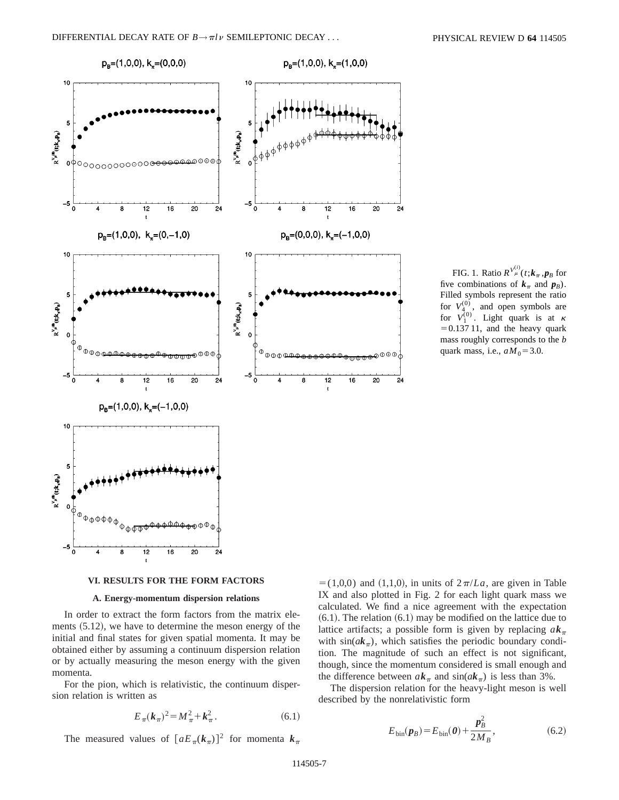

FIG. 1. Ratio  $R^{V_{\mu}^{(i)}}(t; k_{\pi}, p_{B}$  for five combinations of  $k_\pi$  and  $p_B$ ). Filled symbols represent the ratio for  $V_{4}^{(0)}$ , and open symbols are for  $V_1^{(0)}$ . Light quark is at  $\kappa$  $=0.137 11$ , and the heavy quark mass roughly corresponds to the *b* quark mass, i.e.,  $aM_0 = 3.0$ .

### **VI. RESULTS FOR THE FORM FACTORS**

## **A. Energy-momentum dispersion relations**

In order to extract the form factors from the matrix elements  $(5.12)$ , we have to determine the meson energy of the initial and final states for given spatial momenta. It may be obtained either by assuming a continuum dispersion relation or by actually measuring the meson energy with the given momenta.

For the pion, which is relativistic, the continuum dispersion relation is written as

$$
E_{\pi}(k_{\pi})^2 = M_{\pi}^2 + k_{\pi}^2. \tag{6.1}
$$

The measured values of  $[aE_{\pi}(k_{\pi})]^2$  for momenta  $k_{\pi}$ 

 $= (1,0,0)$  and  $(1,1,0)$ , in units of  $2\pi/La$ , are given in Table IX and also plotted in Fig. 2 for each light quark mass we calculated. We find a nice agreement with the expectation  $(6.1)$ . The relation  $(6.1)$  may be modified on the lattice due to lattice artifacts; a possible form is given by replacing  $ak_{\pi}$ with  $sin(ak_{\pi})$ , which satisfies the periodic boundary condition. The magnitude of such an effect is not significant, though, since the momentum considered is small enough and the difference between  $ak_{\pi}$  and  $sin(ak_{\pi})$  is less than 3%.

The dispersion relation for the heavy-light meson is well described by the nonrelativistic form

$$
E_{\text{bin}}(\mathbf{p}_B) = E_{\text{bin}}(\mathbf{0}) + \frac{\mathbf{p}_B^2}{2M_B},
$$
\n(6.2)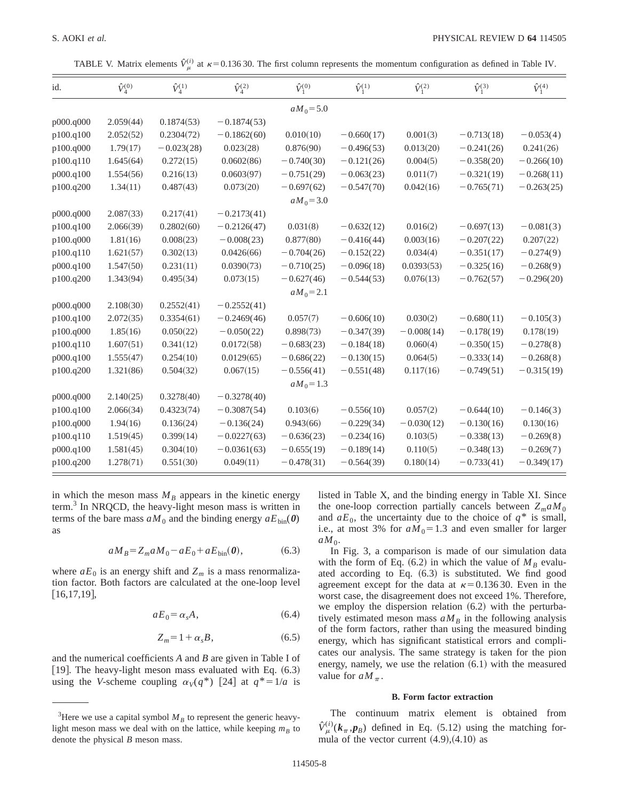TABLE V. Matrix elements  $\hat{V}^{(i)}_{\mu}$  at  $\kappa$  = 0.136 30. The first column represents the momentum configuration as defined in Table IV.

| id.       | $\hat{V}^{(0)}_4$ | $\hat{V}_{4}^{(1)}$ | $\hat{V}^{(2)}_{\scriptscriptstyle{A}}$ | $\hat{V}_1^{(0)}$ | $\hat{V}_1^{(1)}$ | $\hat{V}_1^{(2)}$ | $\hat{V}_1^{(3)}$ | $\hat{V}_1^{(4)}$ |
|-----------|-------------------|---------------------|-----------------------------------------|-------------------|-------------------|-------------------|-------------------|-------------------|
|           |                   |                     |                                         | $aM_0 = 5.0$      |                   |                   |                   |                   |
| p000.q000 | 2.059(44)         | 0.1874(53)          | $-0.1874(53)$                           |                   |                   |                   |                   |                   |
| p100.q100 | 2.052(52)         | 0.2304(72)          | $-0.1862(60)$                           | 0.010(10)         | $-0.660(17)$      | 0.001(3)          | $-0.713(18)$      | $-0.053(4)$       |
| p100.q000 | 1.79(17)          | $-0.023(28)$        | 0.023(28)                               | 0.876(90)         | $-0.496(53)$      | 0.013(20)         | $-0.241(26)$      | 0.241(26)         |
| p100.q110 | 1.645(64)         | 0.272(15)           | 0.0602(86)                              | $-0.740(30)$      | $-0.121(26)$      | 0.004(5)          | $-0.358(20)$      | $-0.266(10)$      |
| p000.q100 | 1.554(56)         | 0.216(13)           | 0.0603(97)                              | $-0.751(29)$      | $-0.063(23)$      | 0.011(7)          | $-0.321(19)$      | $-0.268(11)$      |
| p100.q200 | 1.34(11)          | 0.487(43)           | 0.073(20)                               | $-0.697(62)$      | $-0.547(70)$      | 0.042(16)         | $-0.765(71)$      | $-0.263(25)$      |
|           |                   |                     |                                         | $aM_0 = 3.0$      |                   |                   |                   |                   |
| p000.q000 | 2.087(33)         | 0.217(41)           | $-0.2173(41)$                           |                   |                   |                   |                   |                   |
| p100.q100 | 2.066(39)         | 0.2802(60)          | $-0.2126(47)$                           | 0.031(8)          | $-0.632(12)$      | 0.016(2)          | $-0.697(13)$      | $-0.081(3)$       |
| p100.q000 | 1.81(16)          | 0.008(23)           | $-0.008(23)$                            | 0.877(80)         | $-0.416(44)$      | 0.003(16)         | $-0.207(22)$      | 0.207(22)         |
| p100.q110 | 1.621(57)         | 0.302(13)           | 0.0426(66)                              | $-0.704(26)$      | $-0.152(22)$      | 0.034(4)          | $-0.351(17)$      | $-0.274(9)$       |
| p000.q100 | 1.547(50)         | 0.231(11)           | 0.0390(73)                              | $-0.710(25)$      | $-0.096(18)$      | 0.0393(53)        | $-0.325(16)$      | $-0.268(9)$       |
| p100.q200 | 1.343(94)         | 0.495(34)           | 0.073(15)                               | $-0.627(46)$      | $-0.544(53)$      | 0.076(13)         | $-0.762(57)$      | $-0.296(20)$      |
|           |                   |                     |                                         | $aM_0 = 2.1$      |                   |                   |                   |                   |
| p000.q000 | 2.108(30)         | 0.2552(41)          | $-0.2552(41)$                           |                   |                   |                   |                   |                   |
| p100.q100 | 2.072(35)         | 0.3354(61)          | $-0.2469(46)$                           | 0.057(7)          | $-0.606(10)$      | 0.030(2)          | $-0.680(11)$      | $-0.105(3)$       |
| p100.q000 | 1.85(16)          | 0.050(22)           | $-0.050(22)$                            | 0.898(73)         | $-0.347(39)$      | $-0.008(14)$      | $-0.178(19)$      | 0.178(19)         |
| p100.q110 | 1.607(51)         | 0.341(12)           | 0.0172(58)                              | $-0.683(23)$      | $-0.184(18)$      | 0.060(4)          | $-0.350(15)$      | $-0.278(8)$       |
| p000.q100 | 1.555(47)         | 0.254(10)           | 0.0129(65)                              | $-0.686(22)$      | $-0.130(15)$      | 0.064(5)          | $-0.333(14)$      | $-0.268(8)$       |
| p100.q200 | 1.321(86)         | 0.504(32)           | 0.067(15)                               | $-0.556(41)$      | $-0.551(48)$      | 0.117(16)         | $-0.749(51)$      | $-0.315(19)$      |
|           |                   |                     |                                         | $aM_0 = 1.3$      |                   |                   |                   |                   |
| p000.q000 | 2.140(25)         | 0.3278(40)          | $-0.3278(40)$                           |                   |                   |                   |                   |                   |
| p100.q100 | 2.066(34)         | 0.4323(74)          | $-0.3087(54)$                           | 0.103(6)          | $-0.556(10)$      | 0.057(2)          | $-0.644(10)$      | $-0.146(3)$       |
| p100.q000 | 1.94(16)          | 0.136(24)           | $-0.136(24)$                            | 0.943(66)         | $-0.229(34)$      | $-0.030(12)$      | $-0.130(16)$      | 0.130(16)         |
| p100.q110 | 1.519(45)         | 0.399(14)           | $-0.0227(63)$                           | $-0.636(23)$      | $-0.234(16)$      | 0.103(5)          | $-0.338(13)$      | $-0.269(8)$       |
| p000.q100 | 1.581(45)         | 0.304(10)           | $-0.0361(63)$                           | $-0.655(19)$      | $-0.189(14)$      | 0.110(5)          | $-0.348(13)$      | $-0.269(7)$       |
| p100.q200 | 1.278(71)         | 0.551(30)           | 0.049(11)                               | $-0.478(31)$      | $-0.564(39)$      | 0.180(14)         | $-0.733(41)$      | $-0.349(17)$      |

in which the meson mass  $M_B$  appears in the kinetic energy term.3 In NRQCD, the heavy-light meson mass is written in terms of the bare mass  $aM_0$  and the binding energy  $aE_{\text{bin}}(0)$ as

$$
aM_B = Z_m aM_0 - aE_0 + aE_{\text{bin}}(\boldsymbol{\theta}),\tag{6.3}
$$

where  $aE_0$  is an energy shift and  $Z_m$  is a mass renormalization factor. Both factors are calculated at the one-loop level  $[16,17,19]$ ,

$$
aE_0 = \alpha_s A, \tag{6.4}
$$

$$
Z_m = 1 + \alpha_s B, \tag{6.5}
$$

and the numerical coefficients *A* and *B* are given in Table I of [19]. The heavy-light meson mass evaluated with Eq.  $(6.3)$ using the *V*-scheme coupling  $\alpha_V(q^*)$  [24] at  $q^*=1/a$  is listed in Table X, and the binding energy in Table XI. Since the one-loop correction partially cancels between  $Z_m a M_0$ and  $aE_0$ , the uncertainty due to the choice of  $q^*$  is small, i.e., at most 3% for  $aM_0=1.3$  and even smaller for larger  $aM_0$ .

In Fig. 3, a comparison is made of our simulation data with the form of Eq.  $(6.2)$  in which the value of  $M_B$  evaluated according to Eq.  $(6.3)$  is substituted. We find good agreement except for the data at  $\kappa=0.13630$ . Even in the worst case, the disagreement does not exceed 1%. Therefore, we employ the dispersion relation  $(6.2)$  with the perturbatively estimated meson mass  $aM_B$  in the following analysis of the form factors, rather than using the measured binding energy, which has significant statistical errors and complicates our analysis. The same strategy is taken for the pion energy, namely, we use the relation  $(6.1)$  with the measured value for  $aM_\pi$ .

## **B. Form factor extraction**

The continuum matrix element is obtained from  $\hat{V}_{\mu}^{(i)}(k_{\pi}, p_{B})$  defined in Eq. (5.12) using the matching formula of the vector current  $(4.9)$ , $(4.10)$  as

<sup>&</sup>lt;sup>3</sup>Here we use a capital symbol  $M_B$  to represent the generic heavylight meson mass we deal with on the lattice, while keeping  $m_B$  to denote the physical *B* meson mass.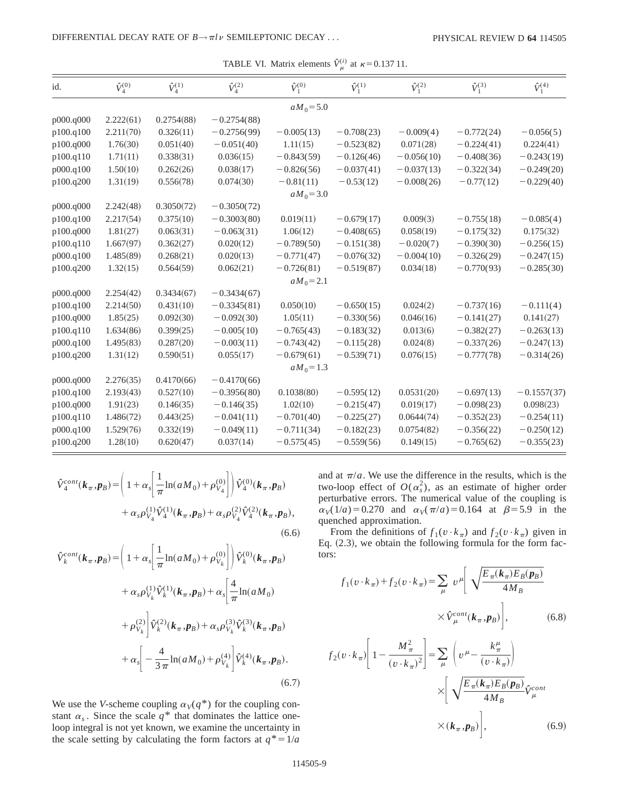| id.       | $\hat{V}^{(0)}_{\scriptscriptstyle{A}}$ | $\hat{V}_{4}^{(1)}$ | $\hat{V}^{(2)}_{\scriptscriptstyle{4}}$ | $\hat{V}_1^{(0)}$ | $\hat{V}_1^{(1)}$ | $\hat{V}_1^{(2)}$ | $\hat{V}_1^{(3)}$ | $\hat{V}_1^{(4)}$ |
|-----------|-----------------------------------------|---------------------|-----------------------------------------|-------------------|-------------------|-------------------|-------------------|-------------------|
|           |                                         |                     |                                         | $aM_0 = 5.0$      |                   |                   |                   |                   |
| p000.q000 | 2.222(61)                               | 0.2754(88)          | $-0.2754(88)$                           |                   |                   |                   |                   |                   |
| p100.q100 | 2.211(70)                               | 0.326(11)           | $-0.2756(99)$                           | $-0.005(13)$      | $-0.708(23)$      | $-0.009(4)$       | $-0.772(24)$      | $-0.056(5)$       |
| p100.q000 | 1.76(30)                                | 0.051(40)           | $-0.051(40)$                            | 1.11(15)          | $-0.523(82)$      | 0.071(28)         | $-0.224(41)$      | 0.224(41)         |
| p100.q110 | 1.71(11)                                | 0.338(31)           | 0.036(15)                               | $-0.843(59)$      | $-0.126(46)$      | $-0.056(10)$      | $-0.408(36)$      | $-0.243(19)$      |
| p000.q100 | 1.50(10)                                | 0.262(26)           | 0.038(17)                               | $-0.826(56)$      | $-0.037(41)$      | $-0.037(13)$      | $-0.322(34)$      | $-0.249(20)$      |
| p100.q200 | 1.31(19)                                | 0.556(78)           | 0.074(30)                               | $-0.81(11)$       | $-0.53(12)$       | $-0.008(26)$      | $-0.77(12)$       | $-0.229(40)$      |
|           |                                         |                     |                                         | $aM_0 = 3.0$      |                   |                   |                   |                   |
| p000.q000 | 2.242(48)                               | 0.3050(72)          | $-0.3050(72)$                           |                   |                   |                   |                   |                   |
| p100.q100 | 2.217(54)                               | 0.375(10)           | $-0.3003(80)$                           | 0.019(11)         | $-0.679(17)$      | 0.009(3)          | $-0.755(18)$      | $-0.085(4)$       |
| p100.q000 | 1.81(27)                                | 0.063(31)           | $-0.063(31)$                            | 1.06(12)          | $-0.408(65)$      | 0.058(19)         | $-0.175(32)$      | 0.175(32)         |
| p100.q110 | 1.667(97)                               | 0.362(27)           | 0.020(12)                               | $-0.789(50)$      | $-0.151(38)$      | $-0.020(7)$       | $-0.390(30)$      | $-0.256(15)$      |
| p000.q100 | 1.485(89)                               | 0.268(21)           | 0.020(13)                               | $-0.771(47)$      | $-0.076(32)$      | $-0.004(10)$      | $-0.326(29)$      | $-0.247(15)$      |
| p100.q200 | 1.32(15)                                | 0.564(59)           | 0.062(21)                               | $-0.726(81)$      | $-0.519(87)$      | 0.034(18)         | $-0.770(93)$      | $-0.285(30)$      |
|           |                                         |                     |                                         | $aM_0 = 2.1$      |                   |                   |                   |                   |
| p000.q000 | 2.254(42)                               | 0.3434(67)          | $-0.3434(67)$                           |                   |                   |                   |                   |                   |
| p100.q100 | 2.214(50)                               | 0.431(10)           | $-0.3345(81)$                           | 0.050(10)         | $-0.650(15)$      | 0.024(2)          | $-0.737(16)$      | $-0.111(4)$       |
| p100.q000 | 1.85(25)                                | 0.092(30)           | $-0.092(30)$                            | 1.05(11)          | $-0.330(56)$      | 0.046(16)         | $-0.141(27)$      | 0.141(27)         |
| p100.q110 | 1.634(86)                               | 0.399(25)           | $-0.005(10)$                            | $-0.765(43)$      | $-0.183(32)$      | 0.013(6)          | $-0.382(27)$      | $-0.263(13)$      |
| p000.q100 | 1.495(83)                               | 0.287(20)           | $-0.003(11)$                            | $-0.743(42)$      | $-0.115(28)$      | 0.024(8)          | $-0.337(26)$      | $-0.247(13)$      |
| p100.q200 | 1.31(12)                                | 0.590(51)           | 0.055(17)                               | $-0.679(61)$      | $-0.539(71)$      | 0.076(15)         | $-0.777(78)$      | $-0.314(26)$      |
|           |                                         |                     |                                         | $aM_0 = 1.3$      |                   |                   |                   |                   |
| p000.q000 | 2.276(35)                               | 0.4170(66)          | $-0.4170(66)$                           |                   |                   |                   |                   |                   |
| p100.q100 | 2.193(43)                               | 0.527(10)           | $-0.3956(80)$                           | 0.1038(80)        | $-0.595(12)$      | 0.0531(20)        | $-0.697(13)$      | $-0.1557(37)$     |
| p100.q000 | 1.91(23)                                | 0.146(35)           | $-0.146(35)$                            | 1.02(10)          | $-0.215(47)$      | 0.019(17)         | $-0.098(23)$      | 0.098(23)         |
| p100.q110 | 1.486(72)                               | 0.443(25)           | $-0.041(11)$                            | $-0.701(40)$      | $-0.225(27)$      | 0.0644(74)        | $-0.352(23)$      | $-0.254(11)$      |
| p000.q100 | 1.529(76)                               | 0.332(19)           | $-0.049(11)$                            | $-0.711(34)$      | $-0.182(23)$      | 0.0754(82)        | $-0.356(22)$      | $-0.250(12)$      |
| p100.q200 | 1.28(10)                                | 0.620(47)           | 0.037(14)                               | $-0.575(45)$      | $-0.559(56)$      | 0.149(15)         | $-0.765(62)$      | $-0.355(23)$      |

TABLE VI. Matrix elements  $\hat{V}_{\mu}^{(i)}$  at  $\kappa$ =0.137 11.

$$
\hat{V}_{4}^{cont}(\mathbf{k}_{\pi}, \mathbf{p}_{B}) = \left(1 + \alpha_{s} \left[\frac{1}{\pi} \ln(aM_{0}) + \rho_{V_{4}}^{(0)}\right]\right) \hat{V}_{4}^{(0)}(\mathbf{k}_{\pi}, \mathbf{p}_{B}) + \alpha_{s} \rho_{V_{4}}^{(1)} \hat{V}_{4}^{(1)}(\mathbf{k}_{\pi}, \mathbf{p}_{B}) + \alpha_{s} \rho_{V_{4}}^{(2)} \hat{V}_{4}^{(2)}(\mathbf{k}_{\pi}, \mathbf{p}_{B}),
$$
\n(6.6)

$$
\hat{V}_{k}^{cont}(\mathbf{k}_{\pi}, \mathbf{p}_{B}) = \left(1 + \alpha_{s} \left[\frac{1}{\pi} \ln(aM_{0}) + \rho_{V_{k}}^{(0)}\right]\right) \hat{V}_{k}^{(0)}(\mathbf{k}_{\pi}, \mathbf{p}_{B}) \n+ \alpha_{s} \rho_{V_{k}}^{(1)} \hat{V}_{k}^{(1)}(\mathbf{k}_{\pi}, \mathbf{p}_{B}) + \alpha_{s} \left[\frac{4}{\pi} \ln(aM_{0})\right] \n+ \rho_{V_{k}}^{(2)} \left[\hat{V}_{k}^{(2)}(\mathbf{k}_{\pi}, \mathbf{p}_{B}) + \alpha_{s} \rho_{V_{k}}^{(3)} \hat{V}_{k}^{(3)}(\mathbf{k}_{\pi}, \mathbf{p}_{B})\right] \n+ \alpha_{s} \left[-\frac{4}{3\pi} \ln(aM_{0}) + \rho_{V_{k}}^{(4)}\right] \hat{V}_{k}^{(4)}(\mathbf{k}_{\pi}, \mathbf{p}_{B}).
$$
\n(6.7)

We use the *V*-scheme coupling  $\alpha_V(q^*)$  for the coupling constant  $\alpha_s$ . Since the scale  $q^*$  that dominates the lattice oneloop integral is not yet known, we examine the uncertainty in the scale setting by calculating the form factors at  $q^* = 1/a$ 

and at  $\pi/a$ . We use the difference in the results, which is the two-loop effect of  $O(\alpha_s^2)$ , as an estimate of higher order perturbative errors. The numerical value of the coupling is  $\alpha_V(1/a) = 0.270$  and  $\alpha_V(\pi/a) = 0.164$  at  $\beta = 5.9$  in the quenched approximation.

From the definitions of  $f_1(v \cdot k_\pi)$  and  $f_2(v \cdot k_\pi)$  given in Eq.  $(2.3)$ , we obtain the following formula for the form factors:

$$
f_1(v \cdot k_\pi) + f_2(v \cdot k_\pi) = \sum_{\mu} v^{\mu} \left[ \sqrt{\frac{E_\pi(k_\pi) E_B(p_B)}{4M_B}} \right]
$$

$$
\times \hat{V}_{\mu}^{cont}(\mathbf{k}_\pi, \mathbf{p}_B) \bigg], \tag{6.8}
$$

$$
f_2(v \cdot k_\pi) \left[ 1 - \frac{M_\pi^2}{(v \cdot k_\pi)^2} \right] = \sum_{\mu} \left( v^\mu - \frac{k_\pi^\mu}{(v \cdot k_\pi)} \right)
$$

$$
\times \left[ \sqrt{\frac{E_\pi(k_\pi) E_B(p_B)}{4M_B}} \hat{V}^{cont}_{\mu} \right]
$$

$$
\times (k_\pi, p_B) \left], \tag{6.9}
$$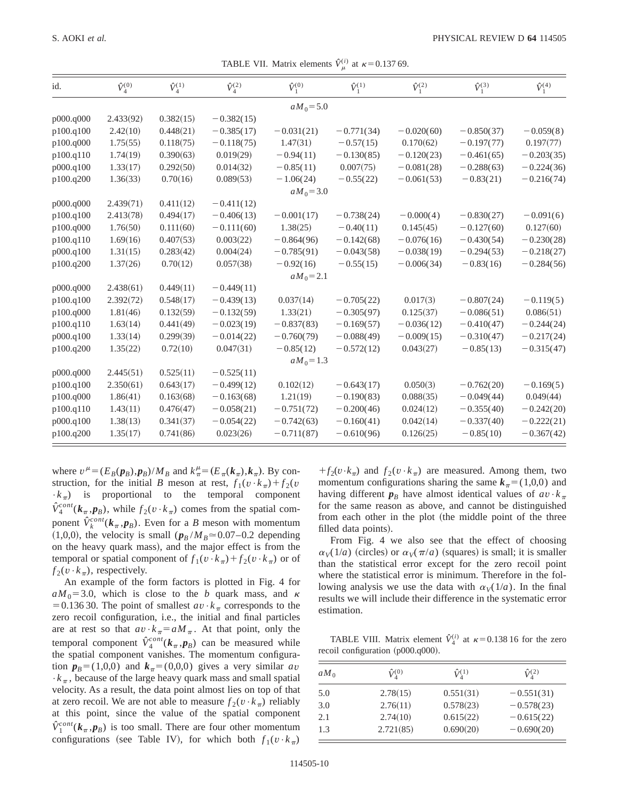TABLE VII. Matrix elements  $\hat{V}_{\mu}^{(i)}$  at  $\kappa$ =0.137 69.

| id.       | $\hat{V}^{(0)}_{\scriptscriptstyle{A}}$ | $\hat{V}^{(1)}_{\scriptscriptstyle{4}}$ | $\hat{V}^{(2)}_{4}$ | $\hat{V}_1^{(0)}$ | $\hat{V}_1^{(1)}$ | $\hat{V}_1^{(2)}$ | $\hat{V}_1^{(3)}$ | $\hat{V}_1^{(4)}$ |
|-----------|-----------------------------------------|-----------------------------------------|---------------------|-------------------|-------------------|-------------------|-------------------|-------------------|
|           |                                         |                                         |                     | $aM_0 = 5.0$      |                   |                   |                   |                   |
| p000.q000 | 2.433(92)                               | 0.382(15)                               | $-0.382(15)$        |                   |                   |                   |                   |                   |
| p100.q100 | 2.42(10)                                | 0.448(21)                               | $-0.385(17)$        | $-0.031(21)$      | $-0.771(34)$      | $-0.020(60)$      | $-0.850(37)$      | $-0.059(8)$       |
| p100.q000 | 1.75(55)                                | 0.118(75)                               | $-0.118(75)$        | 1.47(31)          | $-0.57(15)$       | 0.170(62)         | $-0.197(77)$      | 0.197(77)         |
| p100.q110 | 1.74(19)                                | 0.390(63)                               | 0.019(29)           | $-0.94(11)$       | $-0.130(85)$      | $-0.120(23)$      | $-0.461(65)$      | $-0.203(35)$      |
| p000.q100 | 1.33(17)                                | 0.292(50)                               | 0.014(32)           | $-0.85(11)$       | 0.007(75)         | $-0.081(28)$      | $-0.288(63)$      | $-0.224(36)$      |
| p100.q200 | 1.36(33)                                | 0.70(16)                                | 0.089(53)           | $-1.06(24)$       | $-0.55(22)$       | $-0.061(53)$      | $-0.83(21)$       | $-0.216(74)$      |
|           |                                         |                                         |                     | $aM_0 = 3.0$      |                   |                   |                   |                   |
| p000.q000 | 2.439(71)                               | 0.411(12)                               | $-0.411(12)$        |                   |                   |                   |                   |                   |
| p100.q100 | 2.413(78)                               | 0.494(17)                               | $-0.406(13)$        | $-0.001(17)$      | $-0.738(24)$      | $-0.000(4)$       | $-0.830(27)$      | $-0.091(6)$       |
| p100.q000 | 1.76(50)                                | 0.111(60)                               | $-0.111(60)$        | 1.38(25)          | $-0.40(11)$       | 0.145(45)         | $-0.127(60)$      | 0.127(60)         |
| p100.q110 | 1.69(16)                                | 0.407(53)                               | 0.003(22)           | $-0.864(96)$      | $-0.142(68)$      | $-0.076(16)$      | $-0.430(54)$      | $-0.230(28)$      |
| p000.q100 | 1.31(15)                                | 0.283(42)                               | 0.004(24)           | $-0.785(91)$      | $-0.043(58)$      | $-0.038(19)$      | $-0.294(53)$      | $-0.218(27)$      |
| p100.q200 | 1.37(26)                                | 0.70(12)                                | 0.057(38)           | $-0.92(16)$       | $-0.55(15)$       | $-0.006(34)$      | $-0.83(16)$       | $-0.284(56)$      |
|           |                                         |                                         |                     | $aM_0 = 2.1$      |                   |                   |                   |                   |
| p000.q000 | 2.438(61)                               | 0.449(11)                               | $-0.449(11)$        |                   |                   |                   |                   |                   |
| p100.q100 | 2.392(72)                               | 0.548(17)                               | $-0.439(13)$        | 0.037(14)         | $-0.705(22)$      | 0.017(3)          | $-0.807(24)$      | $-0.119(5)$       |
| p100.q000 | 1.81(46)                                | 0.132(59)                               | $-0.132(59)$        | 1.33(21)          | $-0.305(97)$      | 0.125(37)         | $-0.086(51)$      | 0.086(51)         |
| p100.q110 | 1.63(14)                                | 0.441(49)                               | $-0.023(19)$        | $-0.837(83)$      | $-0.169(57)$      | $-0.036(12)$      | $-0.410(47)$      | $-0.244(24)$      |
| p000.q100 | 1.33(14)                                | 0.299(39)                               | $-0.014(22)$        | $-0.760(79)$      | $-0.088(49)$      | $-0.009(15)$      | $-0.310(47)$      | $-0.217(24)$      |
| p100.q200 | 1.35(22)                                | 0.72(10)                                | 0.047(31)           | $-0.85(12)$       | $-0.572(12)$      | 0.043(27)         | $-0.85(13)$       | $-0.315(47)$      |
|           |                                         |                                         |                     | $aM_0 = 1.3$      |                   |                   |                   |                   |
| p000.q000 | 2.445(51)                               | 0.525(11)                               | $-0.525(11)$        |                   |                   |                   |                   |                   |
| p100.q100 | 2.350(61)                               | 0.643(17)                               | $-0.499(12)$        | 0.102(12)         | $-0.643(17)$      | 0.050(3)          | $-0.762(20)$      | $-0.169(5)$       |
| p100.q000 | 1.86(41)                                | 0.163(68)                               | $-0.163(68)$        | 1.21(19)          | $-0.190(83)$      | 0.088(35)         | $-0.049(44)$      | 0.049(44)         |
| p100.q110 | 1.43(11)                                | 0.476(47)                               | $-0.058(21)$        | $-0.751(72)$      | $-0.200(46)$      | 0.024(12)         | $-0.355(40)$      | $-0.242(20)$      |
| p000.q100 | 1.38(13)                                | 0.341(37)                               | $-0.054(22)$        | $-0.742(63)$      | $-0.160(41)$      | 0.042(14)         | $-0.337(40)$      | $-0.222(21)$      |
| p100.q200 | 1.35(17)                                | 0.741(86)                               | 0.023(26)           | $-0.711(87)$      | $-0.610(96)$      | 0.126(25)         | $-0.85(10)$       | $-0.367(42)$      |

where  $v^{\mu} = (E_B(p_B), p_B)/M_B$  and  $k^{\mu}_{\pi} = (E_{\pi}(k_{\pi}), k_{\pi})$ . By construction, for the initial *B* meson at rest,  $f_1(v \cdot k_\pi) + f_2(v \cdot k_\pi)$  $\cdot k_{\pi}$ ) is proportional to the temporal component  $\hat{V}_4^{cont}(\mathbf{k}_\pi, \mathbf{p}_B)$ , while  $f_2(v \cdot k_\pi)$  comes from the spatial component  $\hat{V}_k^{cont}$  ( $k_{\pi}$ , $p_B$ ). Even for a *B* meson with momentum  $(1,0,0)$ , the velocity is small  $(p_B/M_B \approx 0.07-0.2$  depending on the heavy quark mass), and the major effect is from the temporal or spatial component of  $f_1(v \cdot k_\pi) + f_2(v \cdot k_\pi)$  or of  $f_2(v \cdot k_\pi)$ , respectively.

An example of the form factors is plotted in Fig. 4 for  $aM_0$ =3.0, which is close to the *b* quark mass, and  $\kappa$ = 0.136 30. The point of smallest  $av \cdot k_\pi$  corresponds to the zero recoil configuration, i.e., the initial and final particles are at rest so that  $av \cdot k_\pi = a M_\pi$ . At that point, only the temporal component  $\hat{V}_4^{cont}(\mathbf{k}_\pi, \mathbf{p}_B)$  can be measured while the spatial component vanishes. The momentum configuration  $p_B=(1,0,0)$  and  $k_\pi=(0,0,0)$  gives a very similar *av*  $\cdot k_{\pi}$ , because of the large heavy quark mass and small spatial velocity. As a result, the data point almost lies on top of that at zero recoil. We are not able to measure  $f_2(v \cdot k_\pi)$  reliably at this point, since the value of the spatial component  $\hat{V}_1^{cont}(\mathbf{k}_{\pi}, \mathbf{p}_B)$  is too small. There are four other momentum configurations (see Table IV), for which both  $f_1(v \cdot k_\pi)$ 

 $+f_2(v\cdot k_\pi)$  and  $f_2(v\cdot k_\pi)$  are measured. Among them, two momentum configurations sharing the same  $k_{\pi}=(1,0,0)$  and having different  $p_B$  have almost identical values of  $av \cdot k_\pi$ for the same reason as above, and cannot be distinguished from each other in the plot (the middle point of the three filled data points).

From Fig. 4 we also see that the effect of choosing  $\alpha_V(1/a)$  (circles) or  $\alpha_V(\pi/a)$  (squares) is small; it is smaller than the statistical error except for the zero recoil point where the statistical error is minimum. Therefore in the following analysis we use the data with  $\alpha_V(1/a)$ . In the final results we will include their difference in the systematic error estimation.

TABLE VIII. Matrix element  $\hat{V}_4^{(i)}$  at  $\kappa$ =0.138 16 for the zero recoil configuration  $(p000.q000)$ .

| $aM_0$ | $\hat{V}^{(0)}_{\scriptscriptstyle{A}}$ | $\hat{V}^{(1)}_{\scriptscriptstyle{A}}$ | $\hat{V}_4^{(2)}$ |
|--------|-----------------------------------------|-----------------------------------------|-------------------|
| 5.0    | 2.78(15)                                | 0.551(31)                               | $-0.551(31)$      |
| 3.0    | 2.76(11)                                | 0.578(23)                               | $-0.578(23)$      |
| 2.1    | 2.74(10)                                | 0.615(22)                               | $-0.615(22)$      |
| 1.3    | 2.721(85)                               | 0.690(20)                               | $-0.690(20)$      |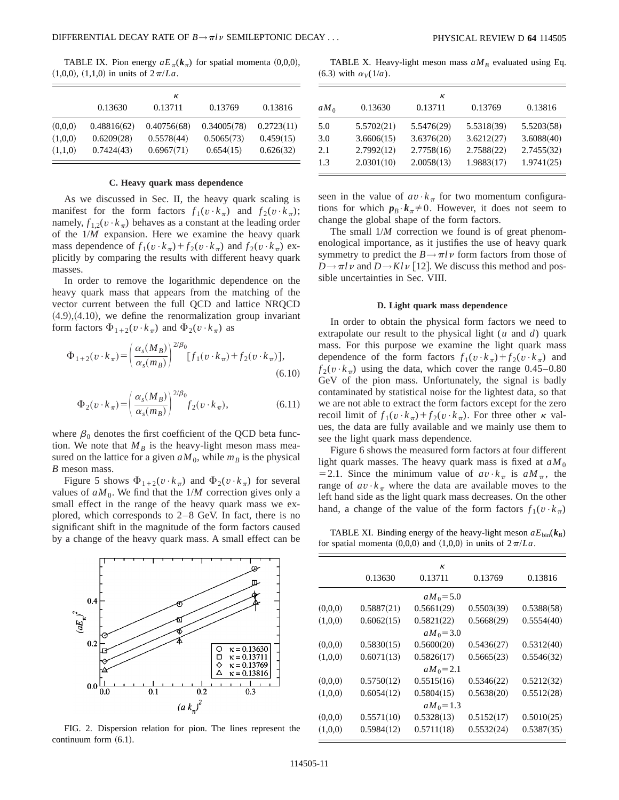TABLE IX. Pion energy  $aE_{\pi}(k_{\pi})$  for spatial momenta (0,0,0),  $(1,0,0)$ ,  $(1,1,0)$  in units of  $2\pi/La$ .

|         |             | к           |             |            |
|---------|-------------|-------------|-------------|------------|
|         | 0.13630     | 0.13711     | 0.13769     | 0.13816    |
| (0,0,0) | 0.48816(62) | 0.40756(68) | 0.34005(78) | 0.2723(11) |
| (1,0,0) | 0.6209(28)  | 0.5578(44)  | 0.5065(73)  | 0.459(15)  |
| (1,1,0) | 0.7424(43)  | 0.6967(71)  | 0.654(15)   | 0.626(32)  |

### **C. Heavy quark mass dependence**

As we discussed in Sec. II, the heavy quark scaling is manifest for the form factors  $f_1(v \cdot k_\pi)$  and  $f_2(v \cdot k_\pi)$ ; namely,  $f_1$ <sub>2</sub>( $v \cdot k_\pi$ ) behaves as a constant at the leading order of the 1/*M* expansion. Here we examine the heavy quark mass dependence of  $f_1(v \cdot k_\pi) + f_2(v \cdot k_\pi)$  and  $f_2(v \cdot k_\pi)$  explicitly by comparing the results with different heavy quark masses.

In order to remove the logarithmic dependence on the heavy quark mass that appears from the matching of the vector current between the full QCD and lattice NRQCD  $(4.9)$ , $(4.10)$ , we define the renormalization group invariant form factors  $\Phi_{1+2}(v \cdot k_\pi)$  and  $\Phi_2(v \cdot k_\pi)$  as

$$
\Phi_{1+2}(v \cdot k_{\pi}) = \left(\frac{\alpha_s(M_B)}{\alpha_s(m_B)}\right)^{2/\beta_0} [f_1(v \cdot k_{\pi}) + f_2(v \cdot k_{\pi})],
$$
\n(6.10)

$$
\Phi_2(v \cdot k_\pi) = \left(\frac{\alpha_s(M_B)}{\alpha_s(m_B)}\right)^{2/\beta_0} f_2(v \cdot k_\pi),\tag{6.11}
$$

where  $\beta_0$  denotes the first coefficient of the QCD beta function. We note that  $M_B$  is the heavy-light meson mass measured on the lattice for a given  $aM_0$ , while  $m_B$  is the physical *B* meson mass.

Figure 5 shows  $\Phi_{1+2}(v \cdot k_{\pi})$  and  $\Phi_2(v \cdot k_{\pi})$  for several values of  $aM_0$ . We find that the  $1/M$  correction gives only a small effect in the range of the heavy quark mass we explored, which corresponds to 2–8 GeV. In fact, there is no significant shift in the magnitude of the form factors caused by a change of the heavy quark mass. A small effect can be



FIG. 2. Dispersion relation for pion. The lines represent the continuum form  $(6.1)$ .

TABLE X. Heavy-light meson mass  $aM_B$  evaluated using Eq.  $(6.3)$  with  $\alpha_V(1/a)$ .

|        |            | к          |            |            |
|--------|------------|------------|------------|------------|
| $aM_0$ | 0.13630    | 0.13711    | 0.13769    | 0.13816    |
| 5.0    | 5.5702(21) | 5.5476(29) | 5.5318(39) | 5.5203(58) |
| 3.0    | 3.6606(15) | 3.6376(20) | 3.6212(27) | 3.6088(40) |
| 2.1    | 2.7992(12) | 2.7758(16) | 2.7588(22) | 2.7455(32) |
| 1.3    | 2.0301(10) | 2.0058(13) | 1.9883(17) | 1.9741(25) |

seen in the value of  $av \cdot k_\pi$  for two momentum configurations for which  $p_B \cdot k_\pi \neq 0$ . However, it does not seem to change the global shape of the form factors.

The small  $1/M$  correction we found is of great phenomenological importance, as it justifies the use of heavy quark symmetry to predict the  $B \rightarrow \pi l \nu$  form factors from those of  $D \rightarrow \pi l \nu$  and  $D \rightarrow Kl \nu$  [12]. We discuss this method and possible uncertainties in Sec. VIII.

## **D. Light quark mass dependence**

In order to obtain the physical form factors we need to extrapolate our result to the physical light (*u* and *d*) quark mass. For this purpose we examine the light quark mass dependence of the form factors  $f_1(v \cdot k_\pi) + f_2(v \cdot k_\pi)$  and  $f_2(v \cdot k_\pi)$  using the data, which cover the range 0.45–0.80 GeV of the pion mass. Unfortunately, the signal is badly contaminated by statistical noise for the lightest data, so that we are not able to extract the form factors except for the zero recoil limit of  $f_1(v \cdot k_\pi) + f_2(v \cdot k_\pi)$ . For three other  $\kappa$  values, the data are fully available and we mainly use them to see the light quark mass dependence.

Figure 6 shows the measured form factors at four different light quark masses. The heavy quark mass is fixed at  $aM_0$ = 2.1. Since the minimum value of  $av \cdot k_\pi$  is  $aM_\pi$ , the range of  $av \cdot k_\pi$  where the data are available moves to the left hand side as the light quark mass decreases. On the other hand, a change of the value of the form factors  $f_1(v \cdot k_\pi)$ 

TABLE XI. Binding energy of the heavy-light meson  $aE_{\text{bin}}(k_B)$ for spatial momenta  $(0,0,0)$  and  $(1,0,0)$  in units of  $2\pi/La$ .

|          |            | к            |            |            |
|----------|------------|--------------|------------|------------|
|          | 0.13630    | 0.13711      | 0.13769    | 0.13816    |
|          |            | $aM_0 = 5.0$ |            |            |
| (0,0,0)  | 0.5887(21) | 0.5661(29)   | 0.5503(39) | 0.5388(58) |
| (1,0,0)  | 0.6062(15) | 0.5821(22)   | 0.5668(29) | 0.5554(40) |
|          |            | $aM_0 = 3.0$ |            |            |
| (0.0, 0) | 0.5830(15) | 0.5600(20)   | 0.5436(27) | 0.5312(40) |
| (1,0,0)  | 0.6071(13) | 0.5826(17)   | 0.5665(23) | 0.5546(32) |
|          |            | $aM_0 = 2.1$ |            |            |
| (0.0, 0) | 0.5750(12) | 0.5515(16)   | 0.5346(22) | 0.5212(32) |
| (1,0,0)  | 0.6054(12) | 0.5804(15)   | 0.5638(20) | 0.5512(28) |
|          |            | $aM_0 = 1.3$ |            |            |
| (0,0,0)  | 0.5571(10) | 0.5328(13)   | 0.5152(17) | 0.5010(25) |
| (1,0,0)  | 0.5984(12) | 0.5711(18)   | 0.5532(24) | 0.5387(35) |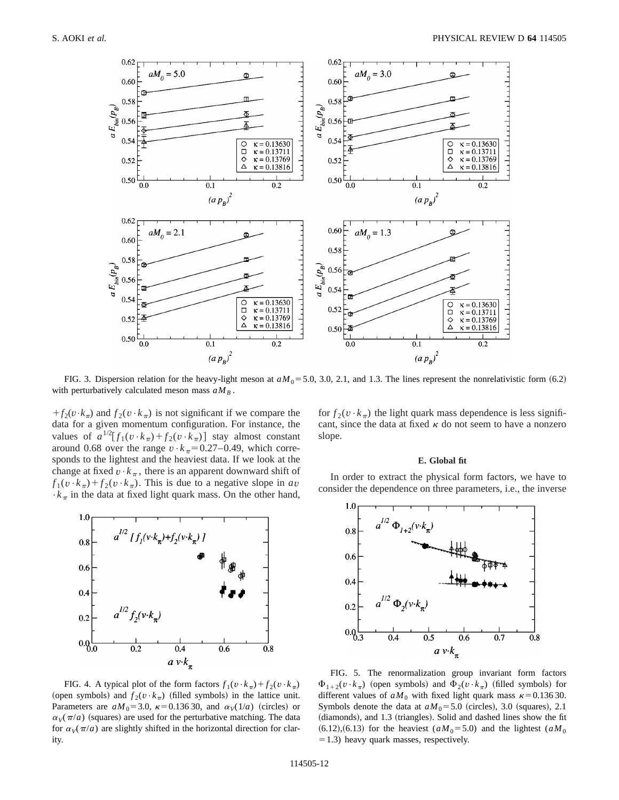

FIG. 3. Dispersion relation for the heavy-light meson at  $aM_0 = 5.0$ , 3.0, 2.1, and 1.3. The lines represent the nonrelativistic form  $(6.2)$ with perturbatively calculated meson mass  $aM_B$ .

 $+f_2(v\cdot k_\pi)$  and  $f_2(v\cdot k_\pi)$  is not significant if we compare the data for a given momentum configuration. For instance, the values of  $a^{1/2}[f_1(v \cdot k_\pi) + f_2(v \cdot k_\pi)]$  stay almost constant around 0.68 over the range  $v \cdot k_\pi = 0.27-0.49$ , which corresponds to the lightest and the heaviest data. If we look at the change at fixed  $v \cdot k_{\pi}$ , there is an apparent downward shift of  $f_1(v \cdot k_\pi) + f_2(v \cdot k_\pi)$ . This is due to a negative slope in *av*  $\cdot k_{\pi}$  in the data at fixed light quark mass. On the other hand,



FIG. 4. A typical plot of the form factors  $f_1(v \cdot k_\pi) + f_2(v \cdot k_\pi)$ (open symbols) and  $f_2(v \cdot k_\pi)$  (filled symbols) in the lattice unit. Parameters are  $aM_0$ =3.0,  $\kappa$ =0.136 30, and  $\alpha_V(1/a)$  (circles) or  $\alpha_V(\pi/a)$  (squares) are used for the perturbative matching. The data for  $\alpha_V(\pi/a)$  are slightly shifted in the horizontal direction for clarity.

for  $f_2(v \cdot k_\pi)$  the light quark mass dependence is less significant, since the data at fixed  $\kappa$  do not seem to have a nonzero slope.

#### **E. Global fit**

In order to extract the physical form factors, we have to consider the dependence on three parameters, i.e., the inverse



FIG. 5. The renormalization group invariant form factors  $\Phi_{1+2}(v \cdot k_{\pi})$  (open symbols) and  $\Phi_2(v \cdot k_{\pi})$  (filled symbols) for different values of  $aM_0$  with fixed light quark mass  $\kappa = 0.13630$ . Symbols denote the data at  $aM_0 = 5.0$  (circles), 3.0 (squares), 2.1 (diamonds), and 1.3 (triangles). Solid and dashed lines show the fit  $(6.12)$ , $(6.13)$  for the heaviest  $(aM_0=5.0)$  and the lightest  $(aM_0)$  $=1.3$ ) heavy quark masses, respectively.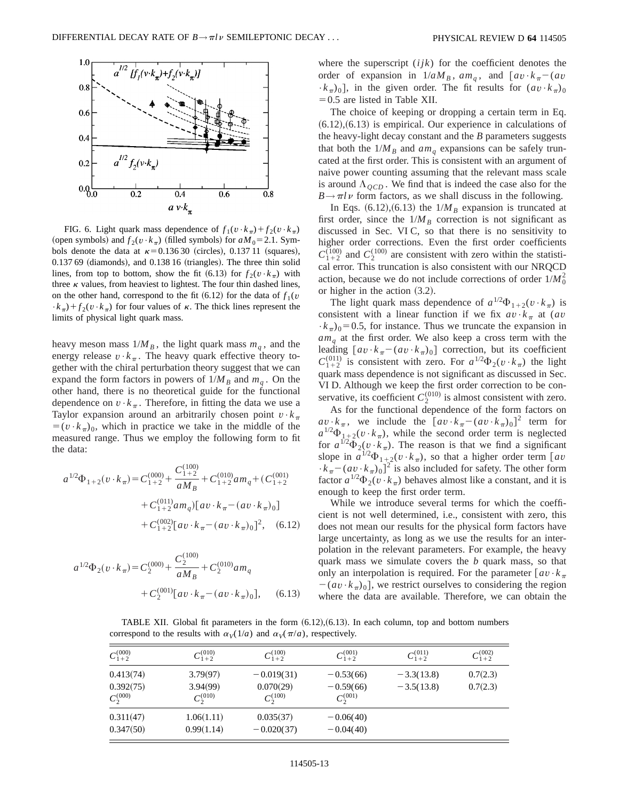

FIG. 6. Light quark mass dependence of  $f_1(v \cdot k_\pi) + f_2(v \cdot k_\pi)$ (open symbols) and  $f_2(v \cdot k_\pi)$  (filled symbols) for  $aM_0 = 2.1$ . Symbols denote the data at  $\kappa=0.13630$  (circles), 0.137 11 (squares),  $0.13769$  (diamonds), and  $0.13816$  (triangles). The three thin solid lines, from top to bottom, show the fit (6.13) for  $f_2(v \cdot k_\pi)$  with three  $\kappa$  values, from heaviest to lightest. The four thin dashed lines, on the other hand, correspond to the fit  $(6.12)$  for the data of  $f_1(v)$  $\cdot k_{\pi}$ ) +  $f_2(v \cdot k_{\pi})$  for four values of  $\kappa$ . The thick lines represent the limits of physical light quark mass.

heavy meson mass  $1/M_B$ , the light quark mass  $m_q$ , and the energy release  $v \cdot k_\pi$ . The heavy quark effective theory together with the chiral perturbation theory suggest that we can expand the form factors in powers of  $1/M_B$  and  $m_q$ . On the other hand, there is no theoretical guide for the functional dependence on  $v \cdot k_\pi$ . Therefore, in fitting the data we use a Taylor expansion around an arbitrarily chosen point  $v \cdot k_\pi$  $=(v \cdot k_{\pi})_0$ , which in practice we take in the middle of the measured range. Thus we employ the following form to fit the data:

$$
a^{1/2}\Phi_{1+2}(v \cdot k_{\pi}) = C_{1+2}^{(000)} + \frac{C_{1+2}^{(100)}}{aM_B} + C_{1+2}^{(010)}am_q + (C_{1+2}^{(001)} + C_{1+2}^{(011)}am_q)[av \cdot k_{\pi} - (av \cdot k_{\pi})_0] + C_{1+2}^{(002)}[av \cdot k_{\pi} - (av \cdot k_{\pi})_0]^2, \quad (6.12)
$$

$$
a^{1/2}\Phi_2(v \cdot k_\pi) = C_2^{(000)} + \frac{C_2^{(100)}}{aM_B} + C_2^{(010)} a m_q
$$
  
+  $C_2^{(001)}[a v \cdot k_\pi - (a v \cdot k_\pi)_0],$  (6.13)

where the superscript (*ijk*) for the coefficient denotes the order of expansion in  $1/aM_B$ ,  $am_a$ , and  $\left[av \cdot k_{\pi} - (av) \right]$  $(k_{\pi})_0$ , in the given order. The fit results for  $(av \cdot k_{\pi})_0$  $=0.5$  are listed in Table XII.

The choice of keeping or dropping a certain term in Eq.  $(6.12)$ , $(6.13)$  is empirical. Our experience in calculations of the heavy-light decay constant and the *B* parameters suggests that both the  $1/M_B$  and  $am_q$  expansions can be safely truncated at the first order. This is consistent with an argument of naive power counting assuming that the relevant mass scale is around  $\Lambda_{OCD}$ . We find that is indeed the case also for the  $B \rightarrow \pi l \nu$  form factors, as we shall discuss in the following.

In Eqs.  $(6.12)$ ,  $(6.13)$  the  $1/M_B$  expansion is truncated at first order, since the  $1/M_B$  correction is not significant as discussed in Sec. VI C, so that there is no sensitivity to higher order corrections. Even the first order coefficients  $C_{1+2}^{(100)}$  and  $C_2^{(100)}$  are consistent with zero within the statistical error. This truncation is also consistent with our NRQCD action, because we do not include corrections of order  $1/M_0^2$ or higher in the action  $(3.2)$ .

The light quark mass dependence of  $a^{1/2}\Phi_{1+2}(v\cdot k_{\pi})$  is consistent with a linear function if we fix  $av \cdot k_{\pi}$  at (*av*  $\cdot k_{\pi}$ )<sub>0</sub>=0.5, for instance. Thus we truncate the expansion in *amq* at the first order. We also keep a cross term with the leading  $[av \cdot k_{\pi} - (av \cdot k_{\pi})_0]$  correction, but its coefficient  $C_{1+2}^{(011)}$  is consistent with zero. For  $a^{1/2}\Phi_2(v\cdot k_\pi)$  the light quark mass dependence is not significant as discussed in Sec. VI D. Although we keep the first order correction to be conservative, its coefficient  $C_2^{(010)}$  is almost consistent with zero.

As for the functional dependence of the form factors on  $av \cdot k_{\pi}$ , we include the  $[av \cdot k_{\pi} - (av \cdot k_{\pi})_0]^2$  term for  $a^{1/2}\Phi_{1+2}(v\cdot k_{\pi})$ , while the second order term is neglected for  $a^{1/2}\overline{\Phi}_2(v\cdot k_\pi)$ . The reason is that we find a significant slope in  $a^{1/2}\Phi_{1+2}(v\cdot k_{\pi})$ , so that a higher order term [av  $\cdot k_{\pi} - (a v \cdot k_{\pi})_0$ <sup>2</sup> is also included for safety. The other form factor  $a^{1/2}\Phi_2(v\cdot k_\pi)$  behaves almost like a constant, and it is enough to keep the first order term.

While we introduce several terms for which the coefficient is not well determined, i.e., consistent with zero, this does not mean our results for the physical form factors have large uncertainty, as long as we use the results for an interpolation in the relevant parameters. For example, the heavy quark mass we simulate covers the *b* quark mass, so that only an interpolation is required. For the parameter  $\lceil av \cdot k_{\pi} \rceil$  $-(av \cdot k_{\pi})_0$ , we restrict ourselves to considering the region where the data are available. Therefore, we can obtain the

TABLE XII. Global fit parameters in the form  $(6.12)$ , $(6.13)$ . In each column, top and bottom numbers correspond to the results with  $\alpha_V(1/a)$  and  $\alpha_V(\pi/a)$ , respectively.

| $C_{1+2}^{(000)}$                       | $C_{1+2}^{(010)}$                     | $C_{1+2}^{(100)}$                          | $C^{(001)}_{1+2}$                           | $C^{(011)}_{1+2}$            | $C_{1+2}^{(002)}$    |
|-----------------------------------------|---------------------------------------|--------------------------------------------|---------------------------------------------|------------------------------|----------------------|
| 0.413(74)<br>0.392(75)<br>$C_2^{(000)}$ | 3.79(97)<br>3.94(99)<br>$C_2^{(010)}$ | $-0.019(31)$<br>0.070(29)<br>$C_2^{(100)}$ | $-0.53(66)$<br>$-0.59(66)$<br>$C_2^{(001)}$ | $-3.3(13.8)$<br>$-3.5(13.8)$ | 0.7(2.3)<br>0.7(2.3) |
| 0.311(47)<br>0.347(50)                  | 1.06(1.11)<br>0.99(1.14)              | 0.035(37)<br>$-0.020(37)$                  | $-0.06(40)$<br>$-0.04(40)$                  |                              |                      |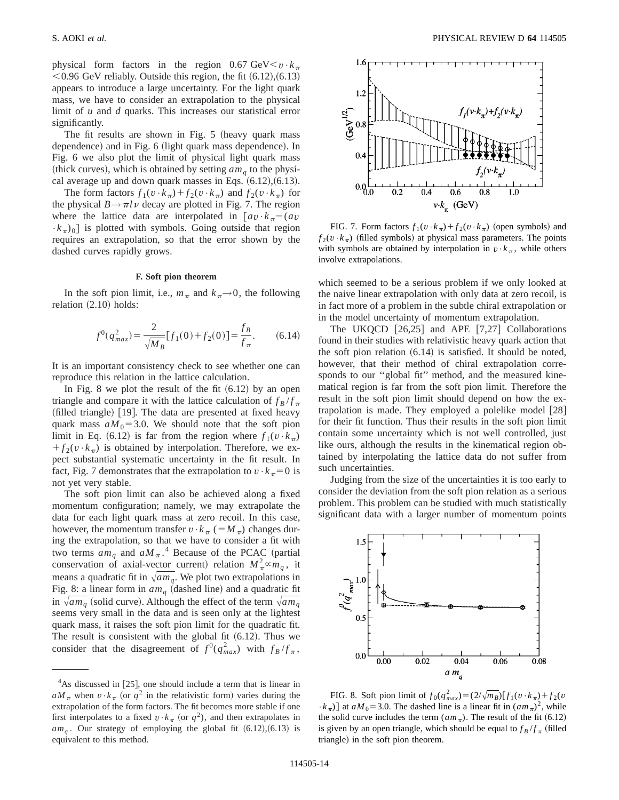physical form factors in the region 0.67 GeV $< v \cdot k_{\pi}$  $<$  0.96 GeV reliably. Outside this region, the fit  $(6.12)$ ,  $(6.13)$ appears to introduce a large uncertainty. For the light quark mass, we have to consider an extrapolation to the physical limit of *u* and *d* quarks. This increases our statistical error significantly.

The fit results are shown in Fig.  $5$  (heavy quark mass dependence) and in Fig. 6 (light quark mass dependence). In Fig. 6 we also plot the limit of physical light quark mass (thick curves), which is obtained by setting  $am<sub>a</sub>$  to the physical average up and down quark masses in Eqs.  $(6.12)$ ,  $(6.13)$ .

The form factors  $f_1(v \cdot k_\pi) + f_2(v \cdot k_\pi)$  and  $f_2(v \cdot k_\pi)$  for the physical  $B \rightarrow \pi l \nu$  decay are plotted in Fig. 7. The region where the lattice data are interpolated in  $[av \cdot k_{\pi}-(av \cdot k_{\pi})]$  $\cdot k_{\pi}$ )<sub>0</sub>] is plotted with symbols. Going outside that region requires an extrapolation, so that the error shown by the dashed curves rapidly grows.

### **F. Soft pion theorem**

In the soft pion limit, i.e.,  $m_\pi$  and  $k_\pi \rightarrow 0$ , the following relation  $(2.10)$  holds:

$$
f^{0}(q_{max}^{2}) = \frac{2}{\sqrt{M_{B}}} [f_{1}(0) + f_{2}(0)] = \frac{f_{B}}{f_{\pi}}.
$$
 (6.14)

It is an important consistency check to see whether one can reproduce this relation in the lattice calculation.

In Fig. 8 we plot the result of the fit  $(6.12)$  by an open triangle and compare it with the lattice calculation of  $f_B/f_\pi$  $(\text{filled triangle})$  [19]. The data are presented at fixed heavy quark mass  $aM_0$ =3.0. We should note that the soft pion limit in Eq. (6.12) is far from the region where  $f_1(v \cdot k_\pi)$  $f_2(v \cdot k_\pi)$  is obtained by interpolation. Therefore, we expect substantial systematic uncertainty in the fit result. In fact, Fig. 7 demonstrates that the extrapolation to  $v \cdot k_{\pi} = 0$  is not yet very stable.

The soft pion limit can also be achieved along a fixed momentum configuration; namely, we may extrapolate the data for each light quark mass at zero recoil. In this case, however, the momentum transfer  $v \cdot k_\pi (=M_\pi)$  changes during the extrapolation, so that we have to consider a fit with two terms  $am_q$  and  $aM_{\pi}$ .<sup>4</sup> Because of the PCAC (partial conservation of axial-vector current) relation  $M_{\pi}^2 \propto m_q$ , it means a quadratic fit in  $\sqrt{am_q}$ . We plot two extrapolations in Fig. 8: a linear form in  $am_q$  (dashed line) and a quadratic fit in  $\sqrt{am_q}$  (solid curve). Although the effect of the term  $\sqrt{am_q}$ seems very small in the data and is seen only at the lightest quark mass, it raises the soft pion limit for the quadratic fit. The result is consistent with the global fit  $(6.12)$ . Thus we consider that the disagreement of  $f^0(q_{max}^2)$  with  $f_B/f_\pi$ ,



FIG. 7. Form factors  $f_1(v \cdot k_\pi) + f_2(v \cdot k_\pi)$  (open symbols) and  $f_2(v \cdot k_\pi)$  (filled symbols) at physical mass parameters. The points with symbols are obtained by interpolation in  $v \cdot k_\pi$ , while others involve extrapolations.

which seemed to be a serious problem if we only looked at the naive linear extrapolation with only data at zero recoil, is in fact more of a problem in the subtle chiral extrapolation or in the model uncertainty of momentum extrapolation.

The UKQCD  $[26,25]$  and APE  $[7,27]$  Collaborations found in their studies with relativistic heavy quark action that the soft pion relation  $(6.14)$  is satisfied. It should be noted, however, that their method of chiral extrapolation corresponds to our "global fit" method, and the measured kinematical region is far from the soft pion limit. Therefore the result in the soft pion limit should depend on how the extrapolation is made. They employed a polelike model  $[28]$ for their fit function. Thus their results in the soft pion limit contain some uncertainty which is not well controlled, just like ours, although the results in the kinematical region obtained by interpolating the lattice data do not suffer from such uncertainties.

Judging from the size of the uncertainties it is too early to consider the deviation from the soft pion relation as a serious problem. This problem can be studied with much statistically significant data with a larger number of momentum points



FIG. 8. Soft pion limit of  $f_0(q_{max}^2) = (2/\sqrt{m_B})[f_1(v \cdot k_{\pi}) + f_2(v)]$  $\cdot k_{\pi}$ ) at  $aM_0$ = 3.0. The dashed line is a linear fit in  $(am_{\pi})^2$ , while the solid curve includes the term  $(am_{\pi})$ . The result of the fit (6.12) is given by an open triangle, which should be equal to  $f_B/f_\pi$  (filled triangle) in the soft pion theorem.

 $4$ As discussed in [25], one should include a term that is linear in  $aM_\pi$  when  $v \cdot k_\pi$  (or  $q^2$  in the relativistic form) varies during the extrapolation of the form factors. The fit becomes more stable if one first interpolates to a fixed  $v \cdot k_{\pi}$  (or  $q^2$ ), and then extrapolates in  $am_q$ . Our strategy of employing the global fit  $(6.12)$ ,  $(6.13)$  is equivalent to this method.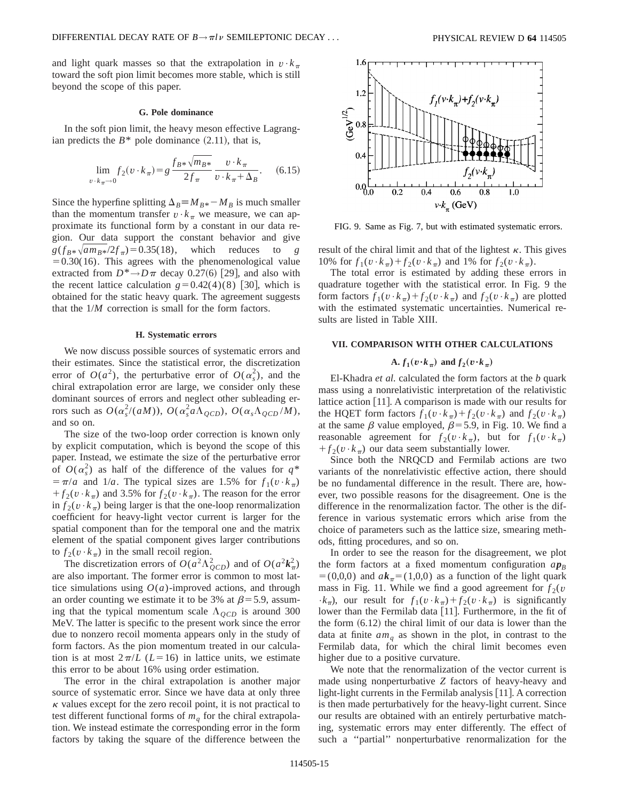and light quark masses so that the extrapolation in  $v \cdot k_\pi$ toward the soft pion limit becomes more stable, which is still beyond the scope of this paper.

## **G. Pole dominance**

In the soft pion limit, the heavy meson effective Lagrangian predicts the  $B^*$  pole dominance  $(2.11)$ , that is,

$$
\lim_{v \cdot k_{\pi} \to 0} f_2(v \cdot k_{\pi}) = g \frac{f_{B^*} \sqrt{m_{B^*}}}{2f_{\pi}} \frac{v \cdot k_{\pi}}{v \cdot k_{\pi} + \Delta_B}.
$$
 (6.15)

Since the hyperfine splitting  $\Delta_B \equiv M_{B*} - M_B$  is much smaller than the momentum transfer  $v \cdot k_{\pi}$  we measure, we can approximate its functional form by a constant in our data region. Our data support the constant behavior and give  $g(f_{B*}\sqrt{am_{B*}/2f_{\pi}}) = 0.35(18)$ , which reduces to *g*  $=0.30(16)$ . This agrees with the phenomenological value extracted from  $D^* \rightarrow D \pi$  decay 0.27(6) [29], and also with the recent lattice calculation  $g=0.42(4)(8)$  [30], which is obtained for the static heavy quark. The agreement suggests that the 1/*M* correction is small for the form factors.

## **H. Systematic errors**

We now discuss possible sources of systematic errors and their estimates. Since the statistical error, the discretization error of  $O(a^2)$ , the perturbative error of  $O(\alpha_s^2)$ , and the chiral extrapolation error are large, we consider only these dominant sources of errors and neglect other subleading errors such as  $O(\alpha_s^2/(aM))$ ,  $O(\alpha_s^2 a \Lambda_{QCD})$ ,  $O(\alpha_s \Lambda_{QCD}/M)$ , and so on.

The size of the two-loop order correction is known only by explicit computation, which is beyond the scope of this paper. Instead, we estimate the size of the perturbative error of  $O(\alpha_s^2)$  as half of the difference of the values for  $q^*$  $= \pi/a$  and  $1/a$ . The typical sizes are 1.5% for  $f_1(v \cdot k_\pi)$  $f_2(v \cdot k_\pi)$  and 3.5% for  $f_2(v \cdot k_\pi)$ . The reason for the error in  $f_2(v \cdot k_\pi)$  being larger is that the one-loop renormalization coefficient for heavy-light vector current is larger for the spatial component than for the temporal one and the matrix element of the spatial component gives larger contributions to  $f_2(v \cdot k_\pi)$  in the small recoil region.

The discretization errors of  $O(a^2 \Lambda_{QCD}^2)$  and of  $O(a^2 k_{\pi}^2)$ are also important. The former error is common to most lattice simulations using  $O(a)$ -improved actions, and through an order counting we estimate it to be 3% at  $\beta$ =5.9, assuming that the typical momentum scale  $\Lambda_{QCD}$  is around 300 MeV. The latter is specific to the present work since the error due to nonzero recoil momenta appears only in the study of form factors. As the pion momentum treated in our calculation is at most  $2\pi/L$  (*L*=16) in lattice units, we estimate this error to be about 16% using order estimation.

The error in the chiral extrapolation is another major source of systematic error. Since we have data at only three  $\kappa$  values except for the zero recoil point, it is not practical to test different functional forms of  $m<sub>a</sub>$  for the chiral extrapolation. We instead estimate the corresponding error in the form factors by taking the square of the difference between the



FIG. 9. Same as Fig. 7, but with estimated systematic errors.

result of the chiral limit and that of the lightest  $\kappa$ . This gives 10% for  $f_1(v \cdot k_\pi) + f_2(v \cdot k_\pi)$  and 1% for  $f_2(v \cdot k_\pi)$ .

The total error is estimated by adding these errors in quadrature together with the statistical error. In Fig. 9 the form factors  $f_1(v \cdot k_\pi) + f_2(v \cdot k_\pi)$  and  $f_2(v \cdot k_\pi)$  are plotted with the estimated systematic uncertainties. Numerical results are listed in Table XIII.

## **VII. COMPARISON WITH OTHER CALCULATIONS**

## $\mathbf{A} \cdot f_1(\mathbf{v} \cdot \mathbf{k}_{\pi})$  and  $f_2(\mathbf{v} \cdot \mathbf{k}_{\pi})$

El-Khadra *et al.* calculated the form factors at the *b* quark mass using a nonrelativistic interpretation of the relativistic lattice action  $[11]$ . A comparison is made with our results for the HQET form factors  $f_1(v \cdot k_\pi) + f_2(v \cdot k_\pi)$  and  $f_2(v \cdot k_\pi)$ at the same  $\beta$  value employed,  $\beta$ =5.9, in Fig. 10. We find a reasonable agreement for  $f_2(v \cdot k_\pi)$ , but for  $f_1(v \cdot k_\pi)$  $f_2(v \cdot k_\pi)$  our data seem substantially lower.

Since both the NRQCD and Fermilab actions are two variants of the nonrelativistic effective action, there should be no fundamental difference in the result. There are, however, two possible reasons for the disagreement. One is the difference in the renormalization factor. The other is the difference in various systematic errors which arise from the choice of parameters such as the lattice size, smearing methods, fitting procedures, and so on.

In order to see the reason for the disagreement, we plot the form factors at a fixed momentum configuration  $ap_B$  $= (0,0,0)$  and  $a\mathbf{k}_{\pi} = (1,0,0)$  as a function of the light quark mass in Fig. 11. While we find a good agreement for  $f_2(v)$  $\cdot k_{\pi}$ , our result for  $f_1(v \cdot k_{\pi}) + f_2(v \cdot k_{\pi})$  is significantly lower than the Fermilab data [11]. Furthermore, in the fit of the form  $(6.12)$  the chiral limit of our data is lower than the data at finite  $am_q$  as shown in the plot, in contrast to the Fermilab data, for which the chiral limit becomes even higher due to a positive curvature.

We note that the renormalization of the vector current is made using nonperturbative *Z* factors of heavy-heavy and light-light currents in the Fermilab analysis  $[11]$ . A correction is then made perturbatively for the heavy-light current. Since our results are obtained with an entirely perturbative matching, systematic errors may enter differently. The effect of such a ''partial'' nonperturbative renormalization for the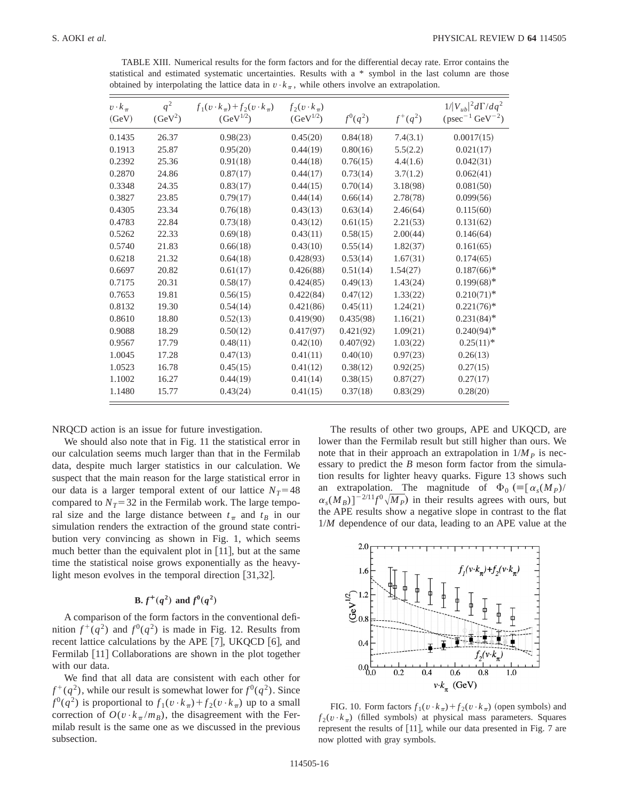TABLE XIII. Numerical results for the form factors and for the differential decay rate. Error contains the statistical and estimated systematic uncertainties. Results with a \* symbol in the last column are those obtained by interpolating the lattice data in  $v \cdot k_\pi$ , while others involve an extrapolation.

| $v \cdot k_{\pi}$<br>(GeV) | $q^2$<br>$(GeV^2)$ | $f_1(v \cdot k_\pi) + f_2(v \cdot k_\pi)$<br>$(GeV^{1/2})$ | $f_2(v \cdot k_\pi)$<br>$(GeV^{1/2})$ | $f^{0}(q^{2})$ | $f^+(q^2)$ | $1/ V_{ub} ^2 d\Gamma/dq^2$<br>$(psec^{-1} GeV^{-2})$ |
|----------------------------|--------------------|------------------------------------------------------------|---------------------------------------|----------------|------------|-------------------------------------------------------|
| 0.1435                     | 26.37              | 0.98(23)                                                   | 0.45(20)                              | 0.84(18)       | 7.4(3.1)   | 0.0017(15)                                            |
| 0.1913                     | 25.87              | 0.95(20)                                                   | 0.44(19)                              | 0.80(16)       | 5.5(2.2)   | 0.021(17)                                             |
| 0.2392                     | 25.36              | 0.91(18)                                                   | 0.44(18)                              | 0.76(15)       | 4.4(1.6)   | 0.042(31)                                             |
| 0.2870                     | 24.86              | 0.87(17)                                                   | 0.44(17)                              | 0.73(14)       | 3.7(1.2)   | 0.062(41)                                             |
| 0.3348                     | 24.35              | 0.83(17)                                                   | 0.44(15)                              | 0.70(14)       | 3.18(98)   | 0.081(50)                                             |
| 0.3827                     | 23.85              | 0.79(17)                                                   | 0.44(14)                              | 0.66(14)       | 2.78(78)   | 0.099(56)                                             |
| 0.4305                     | 23.34              | 0.76(18)                                                   | 0.43(13)                              | 0.63(14)       | 2.46(64)   | 0.115(60)                                             |
| 0.4783                     | 22.84              | 0.73(18)                                                   | 0.43(12)                              | 0.61(15)       | 2.21(53)   | 0.131(62)                                             |
| 0.5262                     | 22.33              | 0.69(18)                                                   | 0.43(11)                              | 0.58(15)       | 2.00(44)   | 0.146(64)                                             |
| 0.5740                     | 21.83              | 0.66(18)                                                   | 0.43(10)                              | 0.55(14)       | 1.82(37)   | 0.161(65)                                             |
| 0.6218                     | 21.32              | 0.64(18)                                                   | 0.428(93)                             | 0.53(14)       | 1.67(31)   | 0.174(65)                                             |
| 0.6697                     | 20.82              | 0.61(17)                                                   | 0.426(88)                             | 0.51(14)       | 1.54(27)   | $0.187(66)*$                                          |
| 0.7175                     | 20.31              | 0.58(17)                                                   | 0.424(85)                             | 0.49(13)       | 1.43(24)   | $0.199(68)*$                                          |
| 0.7653                     | 19.81              | 0.56(15)                                                   | 0.422(84)                             | 0.47(12)       | 1.33(22)   | $0.210(71)$ *                                         |
| 0.8132                     | 19.30              | 0.54(14)                                                   | 0.421(86)                             | 0.45(11)       | 1.24(21)   | $0.221(76)*$                                          |
| 0.8610                     | 18.80              | 0.52(13)                                                   | 0.419(90)                             | 0.435(98)      | 1.16(21)   | $0.231(84)$ *                                         |
| 0.9088                     | 18.29              | 0.50(12)                                                   | 0.417(97)                             | 0.421(92)      | 1.09(21)   | $0.240(94)$ *                                         |
| 0.9567                     | 17.79              | 0.48(11)                                                   | 0.42(10)                              | 0.407(92)      | 1.03(22)   | $0.25(11)^*$                                          |
| 1.0045                     | 17.28              | 0.47(13)                                                   | 0.41(11)                              | 0.40(10)       | 0.97(23)   | 0.26(13)                                              |
| 1.0523                     | 16.78              | 0.45(15)                                                   | 0.41(12)                              | 0.38(12)       | 0.92(25)   | 0.27(15)                                              |
| 1.1002                     | 16.27              | 0.44(19)                                                   | 0.41(14)                              | 0.38(15)       | 0.87(27)   | 0.27(17)                                              |
| 1.1480                     | 15.77              | 0.43(24)                                                   | 0.41(15)                              | 0.37(18)       | 0.83(29)   | 0.28(20)                                              |

NRQCD action is an issue for future investigation.

We should also note that in Fig. 11 the statistical error in our calculation seems much larger than that in the Fermilab data, despite much larger statistics in our calculation. We suspect that the main reason for the large statistical error in our data is a larger temporal extent of our lattice  $N_T=48$ compared to  $N_T$ =32 in the Fermilab work. The large temporal size and the large distance between  $t<sub>\pi</sub>$  and  $t<sub>B</sub>$  in our simulation renders the extraction of the ground state contribution very convincing as shown in Fig. 1, which seems much better than the equivalent plot in  $|11|$ , but at the same time the statistical noise grows exponentially as the heavylight meson evolves in the temporal direction  $[31,32]$ .

# **B.**  $f^{+}(q^{2})$  and  $f^{0}(q^{2})$

A comparison of the form factors in the conventional definition  $f^+(q^2)$  and  $f^0(q^2)$  is made in Fig. 12. Results from recent lattice calculations by the APE  $[7]$ , UKQCD  $[6]$ , and Fermilab  $[11]$  Collaborations are shown in the plot together with our data.

We find that all data are consistent with each other for  $f^+(q^2)$ , while our result is somewhat lower for  $f^0(q^2)$ . Since  $f^{0}(q^{2})$  is proportional to  $f_{1}(v \cdot k_{\pi}) + f_{2}(v \cdot k_{\pi})$  up to a small correction of  $O(v \cdot k_{\pi}/m_B)$ , the disagreement with the Fermilab result is the same one as we discussed in the previous subsection.

The results of other two groups, APE and UKQCD, are lower than the Fermilab result but still higher than ours. We note that in their approach an extrapolation in  $1/M_p$  is necessary to predict the *B* meson form factor from the simulation results for lighter heavy quarks. Figure 13 shows such extrapolation. The magnitude of  $\Phi_0$  (=[ $\alpha_s(M_P)$ /  $\alpha_s(M_B)^{-2/11} f^0 \sqrt{M_P}$  in their results agrees with ours, but the APE results show a negative slope in contrast to the flat 1/*M* dependence of our data, leading to an APE value at the



FIG. 10. Form factors  $f_1(v \cdot k_\pi) + f_2(v \cdot k_\pi)$  (open symbols) and  $f_2(v \cdot k_\pi)$  (filled symbols) at physical mass parameters. Squares represent the results of  $[11]$ , while our data presented in Fig. 7 are now plotted with gray symbols.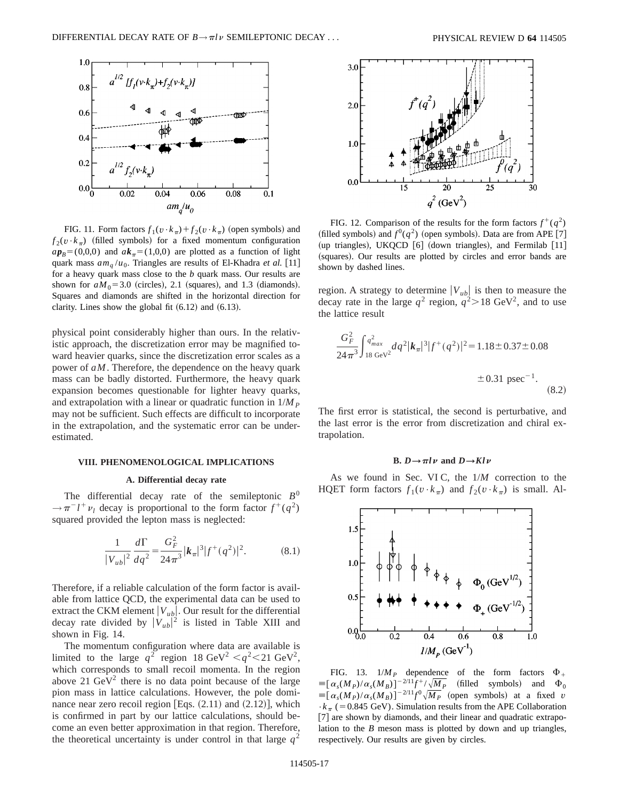

FIG. 11. Form factors  $f_1(v \cdot k_\pi) + f_2(v \cdot k_\pi)$  (open symbols) and  $f_2(v \cdot k_\pi)$  (filled symbols) for a fixed momentum configuration  $ap_B=(0,0,0)$  and  $ak_\pi=(1,0,0)$  are plotted as a function of light quark mass  $am_q/u_0$ . Triangles are results of El-Khadra *et al.* [11] for a heavy quark mass close to the *b* quark mass. Our results are shown for  $aM_0$ =3.0 (circles), 2.1 (squares), and 1.3 (diamonds). Squares and diamonds are shifted in the horizontal direction for clarity. Lines show the global fit  $(6.12)$  and  $(6.13)$ .

physical point considerably higher than ours. In the relativistic approach, the discretization error may be magnified toward heavier quarks, since the discretization error scales as a power of *aM*. Therefore, the dependence on the heavy quark mass can be badly distorted. Furthermore, the heavy quark expansion becomes questionable for lighter heavy quarks, and extrapolation with a linear or quadratic function in  $1/M_p$ may not be sufficient. Such effects are difficult to incorporate in the extrapolation, and the systematic error can be underestimated.

## **VIII. PHENOMENOLOGICAL IMPLICATIONS**

### **A. Differential decay rate**

The differential decay rate of the semileptonic  $B^0$  $\rightarrow \pi^{-}l^{+}\nu_{l}$  decay is proportional to the form factor  $f^{+}(q^{2})$ squared provided the lepton mass is neglected:

$$
\frac{1}{|V_{ub}|^2} \frac{d\Gamma}{dq^2} = \frac{G_F^2}{24\pi^3} |\mathbf{k}_\pi|^3 |f^+(q^2)|^2.
$$
 (8.1)

Therefore, if a reliable calculation of the form factor is available from lattice QCD, the experimental data can be used to extract the CKM element  $|V_{ub}|$ . Our result for the differential decay rate divided by  $|V_{ub}|^2$  is listed in Table XIII and shown in Fig. 14.

The momentum configuration where data are available is limited to the large  $q^2$  region 18 GeV<sup>2</sup>  $\lt q^2 \lt 21$  GeV<sup>2</sup>, which corresponds to small recoil momenta. In the region above 21  $\text{GeV}^2$  there is no data point because of the large pion mass in lattice calculations. However, the pole dominance near zero recoil region [Eqs.  $(2.11)$  and  $(2.12)$ ], which is confirmed in part by our lattice calculations, should become an even better approximation in that region. Therefore, the theoretical uncertainty is under control in that large  $q^2$ 



FIG. 12. Comparison of the results for the form factors  $f^+(q^2)$ (filled symbols) and  $f^0(q^2)$  (open symbols). Data are from APE [7] (up triangles), UKQCD  $[6]$  (down triangles), and Fermilab  $[11]$ (squares). Our results are plotted by circles and error bands are shown by dashed lines.

region. A strategy to determine  $|V_{ub}|$  is then to measure the decay rate in the large  $q^2$  region,  $q^2 > 18$  GeV<sup>2</sup>, and to use the lattice result

$$
\frac{G_F^2}{24\pi^3} \int_{18 \text{ GeV}^2}^{q^2} dq^2 |\mathbf{k}_\pi|^3 |f^+(q^2)|^2 = 1.18 \pm 0.37 \pm 0.08
$$
  

$$
\pm 0.31 \text{ psec}^{-1}.
$$
 (8.2)

The first error is statistical, the second is perturbative, and the last error is the error from discretization and chiral extrapolation.

## **B.**  $D \rightarrow \pi l \nu$  and  $D \rightarrow Kl \nu$

As we found in Sec. VI C, the 1/*M* correction to the HQET form factors  $f_1(v \cdot k_\pi)$  and  $f_2(v \cdot k_\pi)$  is small. Al-



FIG. 13.  $1/M_P$  dependence of the form factors  $\Phi_+$  $\equiv [\alpha_s(M_P)/\alpha_s(M_B)]^{-2/11}f^+/\sqrt{M_P}$  (filled symbols) and  $\Phi_0$  $\equiv [\alpha_s(M_P)/\alpha_s(M_B)]^{-2/11}f^0\sqrt{M_P}$  (open symbols) at a fixed *v*  $\cdot k_{\pi}$  (=0.845 GeV). Simulation results from the APE Collaboration [7] are shown by diamonds, and their linear and quadratic extrapolation to the *B* meson mass is plotted by down and up triangles, respectively. Our results are given by circles.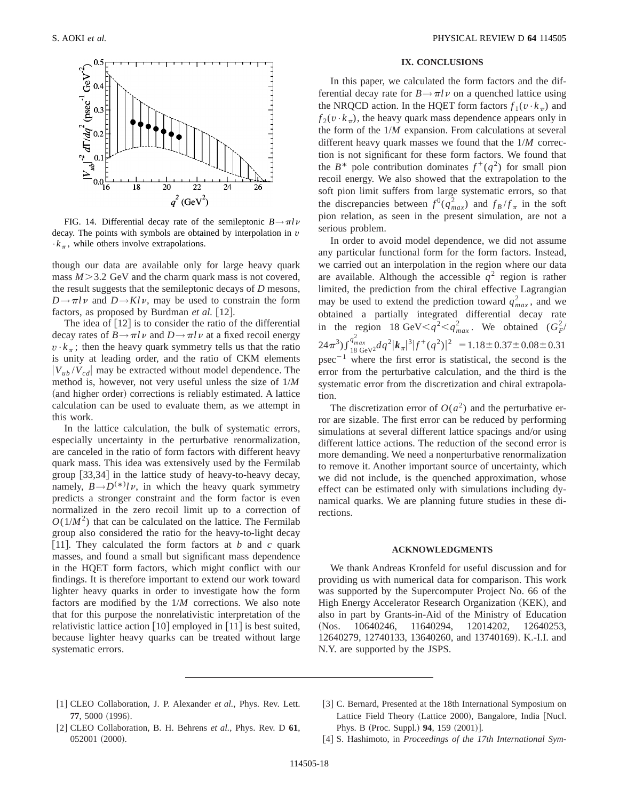

FIG. 14. Differential decay rate of the semileptonic  $B \rightarrow \pi l \nu$ decay. The points with symbols are obtained by interpolation in *v*  $\cdot k_{\pi}$ , while others involve extrapolations.

though our data are available only for large heavy quark mass  $M > 3.2$  GeV and the charm quark mass is not covered, the result suggests that the semileptonic decays of *D* mesons,  $D \rightarrow \pi l \nu$  and  $D \rightarrow Kl \nu$ , may be used to constrain the form factors, as proposed by Burdman et al. [12].

The idea of  $\lceil 12 \rceil$  is to consider the ratio of the differential decay rates of  $B \rightarrow \pi l \nu$  and  $D \rightarrow \pi l \nu$  at a fixed recoil energy  $v \cdot k_{\pi}$ ; then the heavy quark symmetry tells us that the ratio is unity at leading order, and the ratio of CKM elements  $|V_{ub}/V_{cd}|$  may be extracted without model dependence. The method is, however, not very useful unless the size of 1/*M* (and higher order) corrections is reliably estimated. A lattice calculation can be used to evaluate them, as we attempt in this work.

In the lattice calculation, the bulk of systematic errors, especially uncertainty in the perturbative renormalization, are canceled in the ratio of form factors with different heavy quark mass. This idea was extensively used by the Fermilab group  $[33,34]$  in the lattice study of heavy-to-heavy decay, namely,  $B \rightarrow D^{(*)} l \nu$ , in which the heavy quark symmetry predicts a stronger constraint and the form factor is even normalized in the zero recoil limit up to a correction of  $O(1/M^2)$  that can be calculated on the lattice. The Fermilab group also considered the ratio for the heavy-to-light decay [11]. They calculated the form factors at  $b$  and  $c$  quark masses, and found a small but significant mass dependence in the HQET form factors, which might conflict with our findings. It is therefore important to extend our work toward lighter heavy quarks in order to investigate how the form factors are modified by the 1/*M* corrections. We also note that for this purpose the nonrelativistic interpretation of the relativistic lattice action  $[10]$  employed in  $[11]$  is best suited, because lighter heavy quarks can be treated without large systematic errors.

## **IX. CONCLUSIONS**

In this paper, we calculated the form factors and the differential decay rate for  $B \rightarrow \pi l \nu$  on a quenched lattice using the NRQCD action. In the HQET form factors  $f_1(v \cdot k_\pi)$  and  $f_2(v \cdot k_\pi)$ , the heavy quark mass dependence appears only in the form of the 1/*M* expansion. From calculations at several different heavy quark masses we found that the 1/*M* correction is not significant for these form factors. We found that the  $B^*$  pole contribution dominates  $f^+(q^2)$  for small pion recoil energy. We also showed that the extrapolation to the soft pion limit suffers from large systematic errors, so that the discrepancies between  $f^0(q_{max}^2)$  and  $f_B/f_{\pi}$  in the soft pion relation, as seen in the present simulation, are not a serious problem.

In order to avoid model dependence, we did not assume any particular functional form for the form factors. Instead, we carried out an interpolation in the region where our data are available. Although the accessible  $q^2$  region is rather limited, the prediction from the chiral effective Lagrangian may be used to extend the prediction toward  $q_{max}^2$ , and we obtained a partially integrated differential decay rate in the region 18 GeV $\lt q^2 \lt q_{max}^2$ . We obtained  $(G_F^2)$  $(24\pi^3) \int_{18}^{q_{max}^2} \frac{d}{dt} dt^2 |k_\pi|^3 |f^+(q^2)|^2 = 1.18 \pm 0.37 \pm 0.08 \pm 0.31$ psec<sup> $-1$ </sup> where the first error is statistical, the second is the error from the perturbative calculation, and the third is the systematic error from the discretization and chiral extrapolation.

The discretization error of  $O(a^2)$  and the perturbative error are sizable. The first error can be reduced by performing simulations at several different lattice spacings and/or using different lattice actions. The reduction of the second error is more demanding. We need a nonperturbative renormalization to remove it. Another important source of uncertainty, which we did not include, is the quenched approximation, whose effect can be estimated only with simulations including dynamical quarks. We are planning future studies in these directions.

## **ACKNOWLEDGMENTS**

We thank Andreas Kronfeld for useful discussion and for providing us with numerical data for comparison. This work was supported by the Supercomputer Project No. 66 of the High Energy Accelerator Research Organization (KEK), and also in part by Grants-in-Aid of the Ministry of Education (Nos. 10640246, 11640294, 12014202, 12640253, 12640279, 12740133, 13640260, and 13740169). K.-I.I. and N.Y. are supported by the JSPS.

- [1] CLEO Collaboration, J. P. Alexander *et al.*, Phys. Rev. Lett. 77, 5000 (1996).
- [2] CLEO Collaboration, B. H. Behrens *et al.*, Phys. Rev. D 61, 052001 (2000).
- [3] C. Bernard, Presented at the 18th International Symposium on Lattice Field Theory (Lattice 2000), Bangalore, India [Nucl. Phys. B (Proc. Suppl.) **94**, 159 (2001)].
- [4] S. Hashimoto, in *Proceedings of the 17th International Sym-*